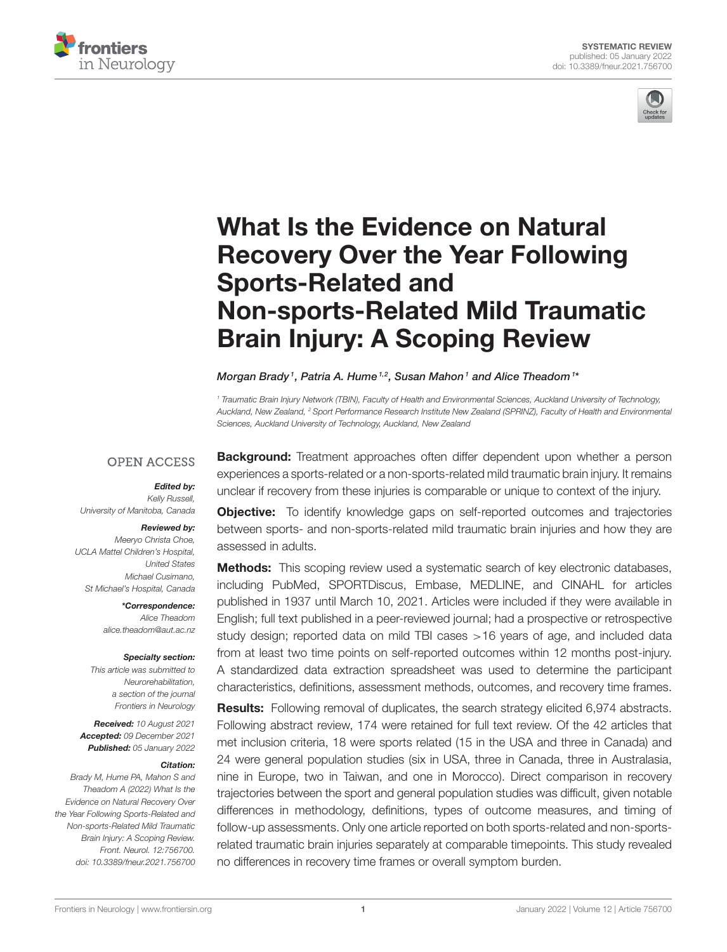



# What Is the Evidence on Natural Recovery Over the Year Following Sports-Related and [Non-sports-Related Mild Traumatic](https://www.frontiersin.org/articles/10.3389/fneur.2021.756700/full) Brain Injury: A Scoping Review

Morgan Brady1, Patria A. Hume<sup>1,2</sup>, Susan Mahon1 and Alice Theadom<sup>1</sup>\*

*<sup>1</sup> Traumatic Brain Injury Network (TBIN), Faculty of Health and Environmental Sciences, Auckland University of Technology, Auckland, New Zealand, <sup>2</sup> Sport Performance Research Institute New Zealand (SPRINZ), Faculty of Health and Environmental Sciences, Auckland University of Technology, Auckland, New Zealand*

### **OPEN ACCESS**

### Edited by:

*Kelly Russell, University of Manitoba, Canada*

### Reviewed by:

*Meeryo Christa Choe, UCLA Mattel Children's Hospital, United States Michael Cusimano, St Michael's Hospital, Canada*

> \*Correspondence: *Alice Theadom [alice.theadom@aut.ac.nz](mailto:alice.theadom@aut.ac.nz)*

#### Specialty section:

*This article was submitted to Neurorehabilitation, a section of the journal Frontiers in Neurology*

Received: *10 August 2021* Accepted: *09 December 2021* Published: *05 January 2022*

### Citation:

*Brady M, Hume PA, Mahon S and Theadom A (2022) What Is the Evidence on Natural Recovery Over the Year Following Sports-Related and Non-sports-Related Mild Traumatic Brain Injury: A Scoping Review. Front. Neurol. 12:756700. doi: [10.3389/fneur.2021.756700](https://doi.org/10.3389/fneur.2021.756700)* **Background:** Treatment approaches often differ dependent upon whether a person experiences a sports-related or a non-sports-related mild traumatic brain injury. It remains unclear if recovery from these injuries is comparable or unique to context of the injury.

**Objective:** To identify knowledge gaps on self-reported outcomes and trajectories between sports- and non-sports-related mild traumatic brain injuries and how they are assessed in adults.

**Methods:** This scoping review used a systematic search of key electronic databases, including PubMed, SPORTDiscus, Embase, MEDLINE, and CINAHL for articles published in 1937 until March 10, 2021. Articles were included if they were available in English; full text published in a peer-reviewed journal; had a prospective or retrospective study design; reported data on mild TBI cases >16 years of age, and included data from at least two time points on self-reported outcomes within 12 months post-injury. A standardized data extraction spreadsheet was used to determine the participant characteristics, definitions, assessment methods, outcomes, and recovery time frames.

Results: Following removal of duplicates, the search strategy elicited 6,974 abstracts. Following abstract review, 174 were retained for full text review. Of the 42 articles that met inclusion criteria, 18 were sports related (15 in the USA and three in Canada) and 24 were general population studies (six in USA, three in Canada, three in Australasia, nine in Europe, two in Taiwan, and one in Morocco). Direct comparison in recovery trajectories between the sport and general population studies was difficult, given notable differences in methodology, definitions, types of outcome measures, and timing of follow-up assessments. Only one article reported on both sports-related and non-sportsrelated traumatic brain injuries separately at comparable timepoints. This study revealed no differences in recovery time frames or overall symptom burden.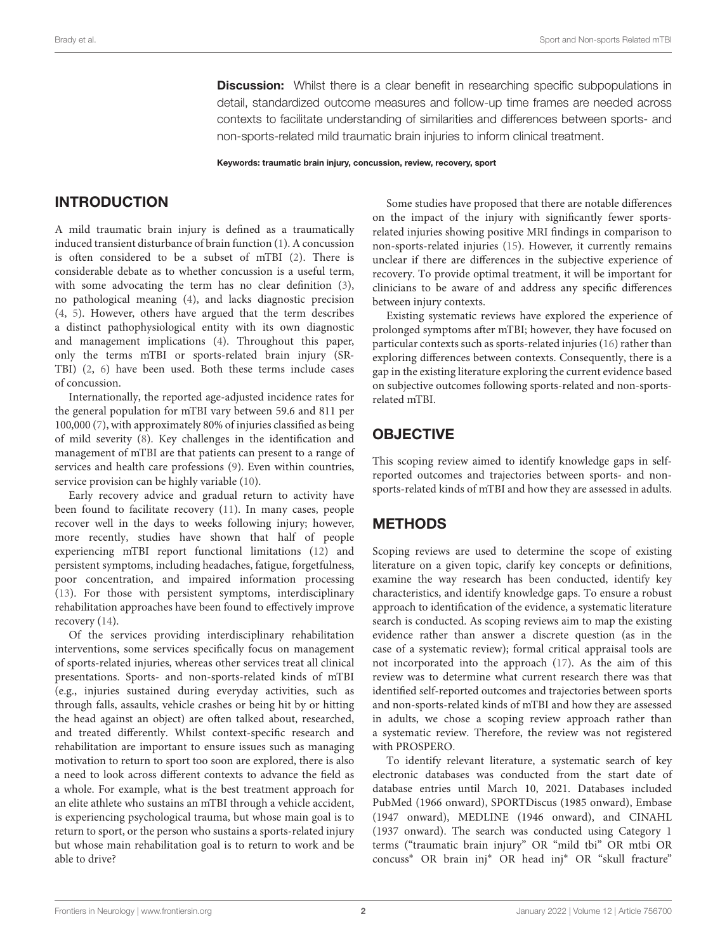**Discussion:** Whilst there is a clear benefit in researching specific subpopulations in detail, standardized outcome measures and follow-up time frames are needed across contexts to facilitate understanding of similarities and differences between sports- and non-sports-related mild traumatic brain injuries to inform clinical treatment.

Keywords: traumatic brain injury, concussion, review, recovery, sport

## INTRODUCTION

A mild traumatic brain injury is defined as a traumatically induced transient disturbance of brain function [\(1\)](#page-12-0). A concussion is often considered to be a subset of mTBI [\(2\)](#page-12-1). There is considerable debate as to whether concussion is a useful term, with some advocating the term has no clear definition [\(3\)](#page-12-2), no pathological meaning [\(4\)](#page-12-3), and lacks diagnostic precision [\(4,](#page-12-3) [5\)](#page-12-4). However, others have argued that the term describes a distinct pathophysiological entity with its own diagnostic and management implications [\(4\)](#page-12-3). Throughout this paper, only the terms mTBI or sports-related brain injury (SR-TBI) [\(2,](#page-12-1) [6\)](#page-12-5) have been used. Both these terms include cases of concussion.

Internationally, the reported age-adjusted incidence rates for the general population for mTBI vary between 59.6 and 811 per 100,000 [\(7\)](#page-12-6), with approximately 80% of injuries classified as being of mild severity [\(8\)](#page-12-7). Key challenges in the identification and management of mTBI are that patients can present to a range of services and health care professions [\(9\)](#page-12-8). Even within countries, service provision can be highly variable [\(10\)](#page-12-9).

Early recovery advice and gradual return to activity have been found to facilitate recovery [\(11\)](#page-12-10). In many cases, people recover well in the days to weeks following injury; however, more recently, studies have shown that half of people experiencing mTBI report functional limitations [\(12\)](#page-12-11) and persistent symptoms, including headaches, fatigue, forgetfulness, poor concentration, and impaired information processing [\(13\)](#page-12-12). For those with persistent symptoms, interdisciplinary rehabilitation approaches have been found to effectively improve recovery [\(14\)](#page-12-13).

Of the services providing interdisciplinary rehabilitation interventions, some services specifically focus on management of sports-related injuries, whereas other services treat all clinical presentations. Sports- and non-sports-related kinds of mTBI (e.g., injuries sustained during everyday activities, such as through falls, assaults, vehicle crashes or being hit by or hitting the head against an object) are often talked about, researched, and treated differently. Whilst context-specific research and rehabilitation are important to ensure issues such as managing motivation to return to sport too soon are explored, there is also a need to look across different contexts to advance the field as a whole. For example, what is the best treatment approach for an elite athlete who sustains an mTBI through a vehicle accident, is experiencing psychological trauma, but whose main goal is to return to sport, or the person who sustains a sports-related injury but whose main rehabilitation goal is to return to work and be able to drive?

Some studies have proposed that there are notable differences on the impact of the injury with significantly fewer sportsrelated injuries showing positive MRI findings in comparison to non-sports-related injuries [\(15\)](#page-12-14). However, it currently remains unclear if there are differences in the subjective experience of recovery. To provide optimal treatment, it will be important for clinicians to be aware of and address any specific differences between injury contexts.

Existing systematic reviews have explored the experience of prolonged symptoms after mTBI; however, they have focused on particular contexts such as sports-related injuries [\(16\)](#page-12-15) rather than exploring differences between contexts. Consequently, there is a gap in the existing literature exploring the current evidence based on subjective outcomes following sports-related and non-sportsrelated mTBI.

# **OBJECTIVE**

This scoping review aimed to identify knowledge gaps in selfreported outcomes and trajectories between sports- and nonsports-related kinds of mTBI and how they are assessed in adults.

# METHODS

Scoping reviews are used to determine the scope of existing literature on a given topic, clarify key concepts or definitions, examine the way research has been conducted, identify key characteristics, and identify knowledge gaps. To ensure a robust approach to identification of the evidence, a systematic literature search is conducted. As scoping reviews aim to map the existing evidence rather than answer a discrete question (as in the case of a systematic review); formal critical appraisal tools are not incorporated into the approach [\(17\)](#page-12-16). As the aim of this review was to determine what current research there was that identified self-reported outcomes and trajectories between sports and non-sports-related kinds of mTBI and how they are assessed in adults, we chose a scoping review approach rather than a systematic review. Therefore, the review was not registered with PROSPERO.

To identify relevant literature, a systematic search of key electronic databases was conducted from the start date of database entries until March 10, 2021. Databases included PubMed (1966 onward), SPORTDiscus (1985 onward), Embase (1947 onward), MEDLINE (1946 onward), and CINAHL (1937 onward). The search was conducted using Category 1 terms ("traumatic brain injury" OR "mild tbi" OR mtbi OR concuss<sup>∗</sup> OR brain inj<sup>∗</sup> OR head inj<sup>∗</sup> OR "skull fracture"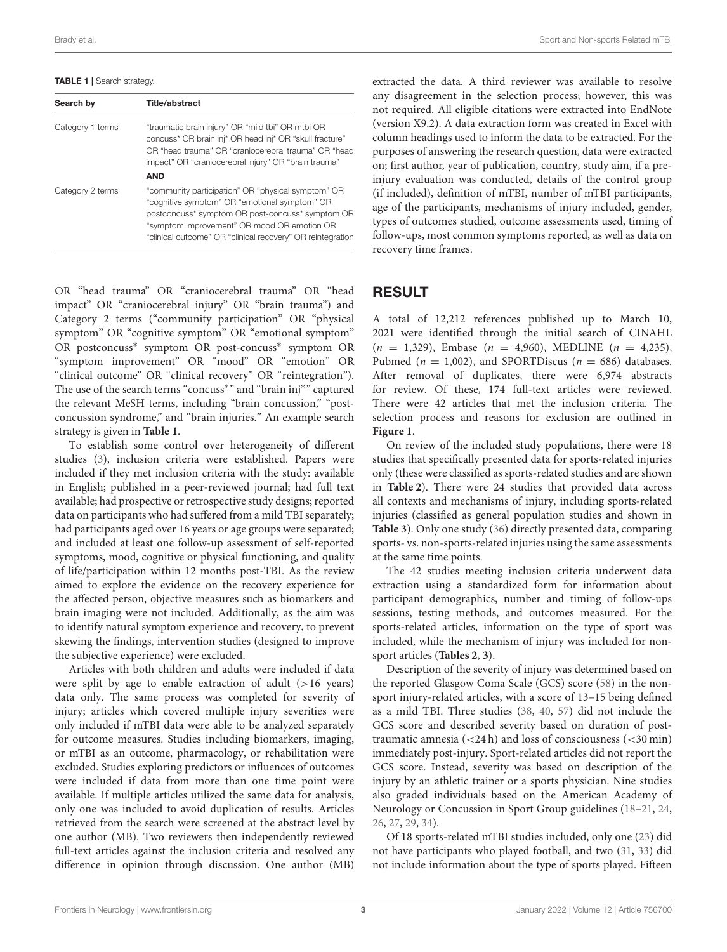<span id="page-2-0"></span>TABLE 1 | Search strategy.

| Search by        | Title/abstract                                                                                                                                                                                                                                                       |  |  |
|------------------|----------------------------------------------------------------------------------------------------------------------------------------------------------------------------------------------------------------------------------------------------------------------|--|--|
| Category 1 terms | "traumatic brain injury" OR "mild tbi" OR mtbi OR<br>concuss* OR brain inj* OR head inj* OR "skull fracture"<br>OR "head trauma" OR "craniocerebral trauma" OR "head<br>impact" OR "craniocerebral injury" OR "brain trauma"                                         |  |  |
|                  | <b>AND</b>                                                                                                                                                                                                                                                           |  |  |
| Category 2 terms | "community participation" OR "physical symptom" OR<br>"cognitive symptom" OR "emotional symptom" OR<br>postconcuss* symptom OR post-concuss* symptom OR<br>"symptom improvement" OR mood OR emotion OR<br>"clinical outcome" OR "clinical recovery" OR reintegration |  |  |

OR "head trauma" OR "craniocerebral trauma" OR "head impact" OR "craniocerebral injury" OR "brain trauma") and Category 2 terms ("community participation" OR "physical symptom" OR "cognitive symptom" OR "emotional symptom" OR postconcuss<sup>∗</sup> symptom OR post-concuss<sup>∗</sup> symptom OR "symptom improvement" OR "mood" OR "emotion" OR "clinical outcome" OR "clinical recovery" OR "reintegration"). The use of the search terms "concuss<sup>∗</sup> " and "brain inj<sup>∗</sup> " captured the relevant MeSH terms, including "brain concussion," "postconcussion syndrome," and "brain injuries." An example search strategy is given in **[Table 1](#page-2-0)**.

To establish some control over heterogeneity of different studies [\(3\)](#page-12-2), inclusion criteria were established. Papers were included if they met inclusion criteria with the study: available in English; published in a peer-reviewed journal; had full text available; had prospective or retrospective study designs; reported data on participants who had suffered from a mild TBI separately; had participants aged over 16 years or age groups were separated; and included at least one follow-up assessment of self-reported symptoms, mood, cognitive or physical functioning, and quality of life/participation within 12 months post-TBI. As the review aimed to explore the evidence on the recovery experience for the affected person, objective measures such as biomarkers and brain imaging were not included. Additionally, as the aim was to identify natural symptom experience and recovery, to prevent skewing the findings, intervention studies (designed to improve the subjective experience) were excluded.

Articles with both children and adults were included if data were split by age to enable extraction of adult  $(>16$  years) data only. The same process was completed for severity of injury; articles which covered multiple injury severities were only included if mTBI data were able to be analyzed separately for outcome measures. Studies including biomarkers, imaging, or mTBI as an outcome, pharmacology, or rehabilitation were excluded. Studies exploring predictors or influences of outcomes were included if data from more than one time point were available. If multiple articles utilized the same data for analysis, only one was included to avoid duplication of results. Articles retrieved from the search were screened at the abstract level by one author (MB). Two reviewers then independently reviewed full-text articles against the inclusion criteria and resolved any difference in opinion through discussion. One author (MB) extracted the data. A third reviewer was available to resolve any disagreement in the selection process; however, this was not required. All eligible citations were extracted into EndNote (version X9.2). A data extraction form was created in Excel with column headings used to inform the data to be extracted. For the purposes of answering the research question, data were extracted on; first author, year of publication, country, study aim, if a preinjury evaluation was conducted, details of the control group (if included), definition of mTBI, number of mTBI participants, age of the participants, mechanisms of injury included, gender, types of outcomes studied, outcome assessments used, timing of follow-ups, most common symptoms reported, as well as data on recovery time frames.

### RESULT

A total of 12,212 references published up to March 10, 2021 were identified through the initial search of CINAHL  $(n = 1,329)$ , Embase  $(n = 4,960)$ , MEDLINE  $(n = 4,235)$ , Pubmed ( $n = 1,002$ ), and SPORTDiscus ( $n = 686$ ) databases. After removal of duplicates, there were 6,974 abstracts for review. Of these, 174 full-text articles were reviewed. There were 42 articles that met the inclusion criteria. The selection process and reasons for exclusion are outlined in **[Figure 1](#page-3-0)**.

On review of the included study populations, there were 18 studies that specifically presented data for sports-related injuries only (these were classified as sports-related studies and are shown in **[Table 2](#page-4-0)**). There were 24 studies that provided data across all contexts and mechanisms of injury, including sports-related injuries (classified as general population studies and shown in **[Table 3](#page-7-0)**). Only one study [\(36\)](#page-13-0) directly presented data, comparing sports- vs. non-sports-related injuries using the same assessments at the same time points.

The 42 studies meeting inclusion criteria underwent data extraction using a standardized form for information about participant demographics, number and timing of follow-ups sessions, testing methods, and outcomes measured. For the sports-related articles, information on the type of sport was included, while the mechanism of injury was included for nonsport articles (**[Tables 2](#page-4-0)**, **[3](#page-7-0)**).

Description of the severity of injury was determined based on the reported Glasgow Coma Scale (GCS) score [\(58\)](#page-14-0) in the nonsport injury-related articles, with a score of 13–15 being defined as a mild TBI. Three studies [\(38,](#page-13-1) [40,](#page-13-2) [57\)](#page-14-1) did not include the GCS score and described severity based on duration of posttraumatic amnesia  $\left( \langle 24 \rangle \right)$  and loss of consciousness  $\left( \langle 30 \rangle \right)$ immediately post-injury. Sport-related articles did not report the GCS score. Instead, severity was based on description of the injury by an athletic trainer or a sports physician. Nine studies also graded individuals based on the American Academy of Neurology or Concussion in Sport Group guidelines [\(18](#page-13-3)[–21,](#page-13-4) [24,](#page-13-5) [26,](#page-13-6) [27,](#page-13-7) [29,](#page-13-8) [34\)](#page-13-9).

Of 18 sports-related mTBI studies included, only one [\(23\)](#page-13-10) did not have participants who played football, and two [\(31,](#page-13-11) [33\)](#page-13-12) did not include information about the type of sports played. Fifteen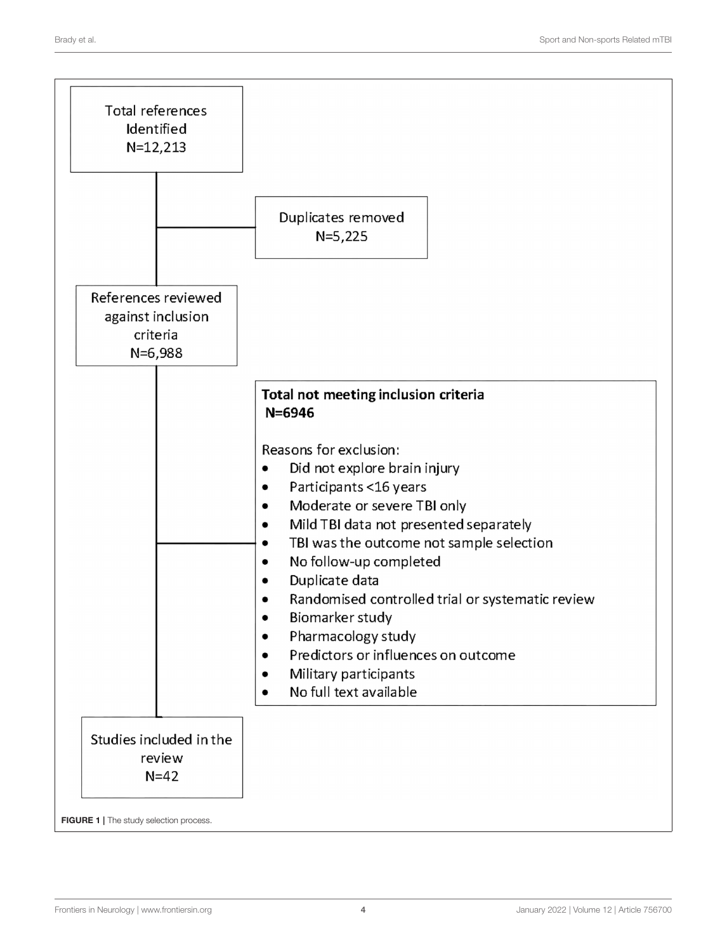<span id="page-3-0"></span>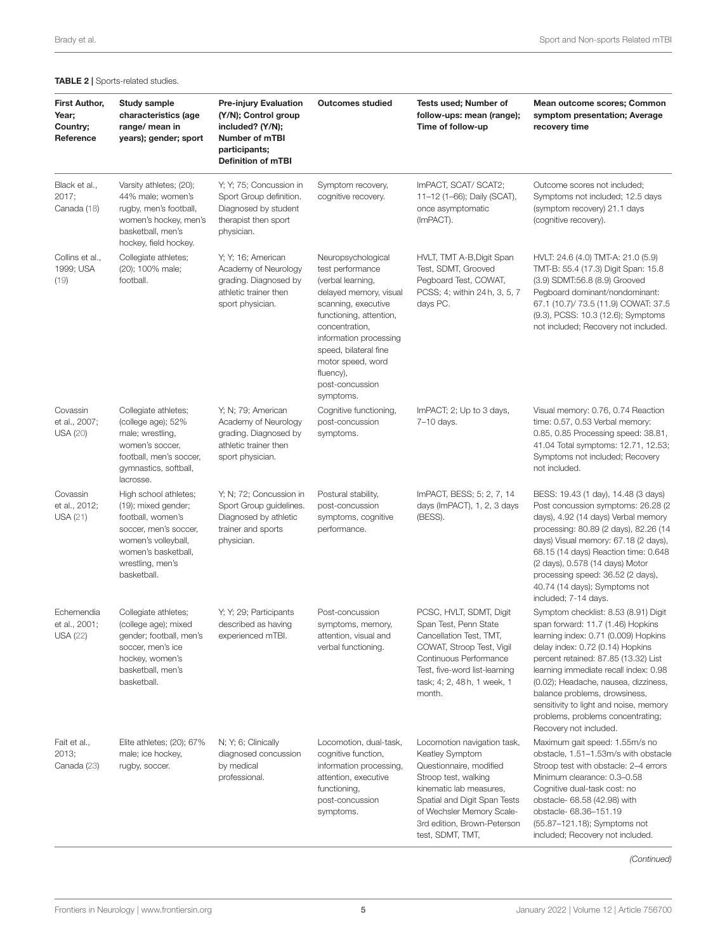| <b>First Author,</b><br>Year;<br>Country;<br>Reference | Study sample<br>characteristics (age<br>range/ mean in<br>years); gender; sport                                                                                             | <b>Pre-injury Evaluation</b><br>(Y/N); Control group<br>included? (Y/N);<br>Number of mTBI<br>participants;<br><b>Definition of mTBI</b> | <b>Outcomes studied</b>                                                                                                                                                                                                                                                        | Tests used; Number of<br>follow-ups: mean (range);<br>Time of follow-up                                                                                                                                                                      | Mean outcome scores; Common<br>symptom presentation; Average<br>recovery time                                                                                                                                                                                                                                                                                                                                            |
|--------------------------------------------------------|-----------------------------------------------------------------------------------------------------------------------------------------------------------------------------|------------------------------------------------------------------------------------------------------------------------------------------|--------------------------------------------------------------------------------------------------------------------------------------------------------------------------------------------------------------------------------------------------------------------------------|----------------------------------------------------------------------------------------------------------------------------------------------------------------------------------------------------------------------------------------------|--------------------------------------------------------------------------------------------------------------------------------------------------------------------------------------------------------------------------------------------------------------------------------------------------------------------------------------------------------------------------------------------------------------------------|
| Black et al.,<br>2017;<br>Canada (18)                  | Varsity athletes; (20);<br>44% male; women's<br>rugby, men's football,<br>women's hockey, men's<br>basketball, men's<br>hockey, field hockey.                               | Y; Y; 75; Concussion in<br>Sport Group definition.<br>Diagnosed by student<br>therapist then sport<br>physician.                         | Symptom recovery,<br>cognitive recovery.                                                                                                                                                                                                                                       | ImPACT, SCAT/ SCAT2;<br>11-12 (1-66); Daily (SCAT),<br>once asymptomatic<br>(ImPACT).                                                                                                                                                        | Outcome scores not included;<br>Symptoms not included; 12.5 days<br>(symptom recovery) 21.1 days<br>(cognitive recovery).                                                                                                                                                                                                                                                                                                |
| Collins et al.,<br>1999; USA<br>(19)                   | Collegiate athletes;<br>(20); 100% male;<br>football.                                                                                                                       | Y; Y; 16; American<br>Academy of Neurology<br>grading. Diagnosed by<br>athletic trainer then<br>sport physician.                         | Neuropsychological<br>test performance<br>(verbal learning,<br>delayed memory, visual<br>scanning, executive<br>functioning, attention,<br>concentration,<br>information processing<br>speed, bilateral fine<br>motor speed, word<br>fluency),<br>post-concussion<br>symptoms. | HVLT, TMT A-B, Digit Span<br>Test, SDMT, Grooved<br>Pegboard Test, COWAT,<br>PCSS; 4; within 24 h, 3, 5, 7<br>days PC.                                                                                                                       | HVLT: 24.6 (4.0) TMT-A: 21.0 (5.9)<br>TMT-B: 55.4 (17.3) Digit Span: 15.8<br>(3.9) SDMT:56.8 (8.9) Grooved<br>Pegboard dominant/nondominant:<br>67.1 (10.7)/ 73.5 (11.9) COWAT: 37.5<br>(9.3), PCSS: 10.3 (12.6); Symptoms<br>not included; Recovery not included.                                                                                                                                                       |
| Covassin<br>et al., 2007;<br><b>USA (20)</b>           | Collegiate athletes;<br>(college age); 52%<br>male; wrestling,<br>women's soccer,<br>football, men's soccer,<br>gymnastics, softball,<br>lacrosse.                          | Y; N; 79; American<br>Academy of Neurology<br>grading. Diagnosed by<br>athletic trainer then<br>sport physician.                         | Cognitive functioning,<br>post-concussion<br>symptoms.                                                                                                                                                                                                                         | ImPACT; 2; Up to 3 days,<br>7-10 days.                                                                                                                                                                                                       | Visual memory: 0.76, 0.74 Reaction<br>time: 0.57, 0.53 Verbal memory:<br>0.85, 0.85 Processing speed: 38.81,<br>41.04 Total symptoms: 12.71, 12.53;<br>Symptoms not included; Recovery<br>not included.                                                                                                                                                                                                                  |
| Covassin<br>et al., 2012;<br>USA(21)                   | High school athletes;<br>(19); mixed gender;<br>football, women's<br>soccer, men's soccer,<br>women's volleyball,<br>women's basketball,<br>wrestling, men's<br>basketball. | Y; N; 72; Concussion in<br>Sport Group guidelines.<br>Diagnosed by athletic<br>trainer and sports<br>physician.                          | Postural stability,<br>post-concussion<br>symptoms, cognitive<br>performance.                                                                                                                                                                                                  | ImPACT, BESS; 5; 2, 7, 14<br>days (ImPACT), 1, 2, 3 days<br>(BESS).                                                                                                                                                                          | BESS: 19.43 (1 day), 14.48 (3 days)<br>Post concussion symptoms: 26.28 (2<br>days), 4.92 (14 days) Verbal memory<br>processing: 80.89 (2 days), 82.26 (14<br>days) Visual memory: 67.18 (2 days),<br>68.15 (14 days) Reaction time: 0.648<br>(2 days), 0.578 (14 days) Motor<br>processing speed: 36.52 (2 days),<br>40.74 (14 days); Symptoms not<br>included; 7-14 days.                                               |
| Echemendia<br>et al., 2001;<br><b>USA (22)</b>         | Collegiate athletes;<br>(college age); mixed<br>gender; football, men's<br>soccer, men's ice<br>hockey, women's<br>basketball, men's<br>basketball.                         | Y; Y; 29; Participants<br>described as having<br>experienced mTBI.                                                                       | Post-concussion<br>symptoms, memory,<br>attention, visual and<br>verbal functioning.                                                                                                                                                                                           | PCSC, HVLT, SDMT, Digit<br>Span Test, Penn State<br>Cancellation Test, TMT,<br>COWAT, Stroop Test, Vigil<br>Continuous Performance<br>Test, five-word list-learning<br>task; 4; 2, 48h, 1 week, 1<br>month.                                  | Symptom checklist: 8.53 (8.91) Digit<br>span forward: 11.7 (1.46) Hopkins<br>learning index: 0.71 (0.009) Hopkins<br>delay index: 0.72 (0.14) Hopkins<br>percent retained: 87.85 (13.32) List<br>learning immediate recall index: 0.98<br>(0.02); Headache, nausea, dizziness,<br>balance problems, drowsiness,<br>sensitivity to light and noise, memory<br>problems, problems concentrating;<br>Recovery not included. |
| Fait et al.,<br>2013;<br>Canada (23)                   | Elite athletes; (20); 67%<br>male; ice hockey,<br>rugby, soccer.                                                                                                            | N; Y; 6; Clinically<br>diagnosed concussion<br>by medical<br>professional.                                                               | Locomotion, dual-task,<br>cognitive function,<br>information processing,<br>attention, executive<br>functioning,<br>post-concussion<br>symptoms.                                                                                                                               | Locomotion navigation task,<br>Keatley Symptom<br>Questionnaire, modified<br>Stroop test, walking<br>kinematic lab measures,<br>Spatial and Digit Span Tests<br>of Wechsler Memory Scale-<br>3rd edition, Brown-Peterson<br>test, SDMT, TMT, | Maximum gait speed: 1.55m/s no<br>obstacle, 1.51-1.53m/s with obstacle<br>Stroop test with obstacle: 2-4 errors<br>Minimum clearance: 0.3-0.58<br>Cognitive dual-task cost: no<br>obstacle- 68.58 (42.98) with<br>obstacle- 68.36-151.19<br>(55.87-121.18); Symptoms not<br>included; Recovery not included.                                                                                                             |

<span id="page-4-0"></span>TABLE 2 | Sports-related studies.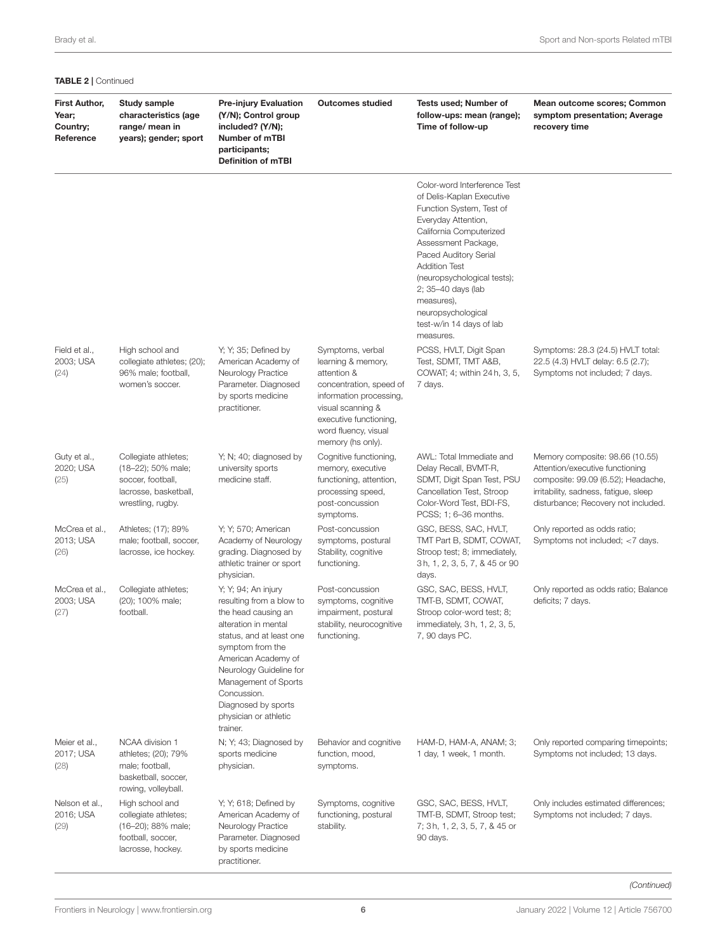| <b>TABLE 2   Continued</b>                             |                                                                                                               |                                                                                                                                                                                                                                                                                                     |                                                                                                                                                                                                         |                                                                                                                                                                                                                                                                                                                                                   |                                                                                                                                                                                          |  |
|--------------------------------------------------------|---------------------------------------------------------------------------------------------------------------|-----------------------------------------------------------------------------------------------------------------------------------------------------------------------------------------------------------------------------------------------------------------------------------------------------|---------------------------------------------------------------------------------------------------------------------------------------------------------------------------------------------------------|---------------------------------------------------------------------------------------------------------------------------------------------------------------------------------------------------------------------------------------------------------------------------------------------------------------------------------------------------|------------------------------------------------------------------------------------------------------------------------------------------------------------------------------------------|--|
| <b>First Author,</b><br>Year;<br>Country;<br>Reference | <b>Study sample</b><br>characteristics (age<br>range/ mean in<br>years); gender; sport                        | <b>Pre-injury Evaluation</b><br>(Y/N); Control group<br>included? (Y/N);<br>Number of mTBI<br>participants;<br><b>Definition of mTBI</b>                                                                                                                                                            | <b>Outcomes studied</b>                                                                                                                                                                                 | Tests used; Number of<br>follow-ups: mean (range);<br>Time of follow-up                                                                                                                                                                                                                                                                           | Mean outcome scores; Common<br>symptom presentation; Average<br>recovery time                                                                                                            |  |
|                                                        |                                                                                                               |                                                                                                                                                                                                                                                                                                     |                                                                                                                                                                                                         | Color-word Interference Test<br>of Delis-Kaplan Executive<br>Function System, Test of<br>Everyday Attention,<br>California Computerized<br>Assessment Package,<br>Paced Auditory Serial<br><b>Addition Test</b><br>(neuropsychological tests);<br>2; 35-40 days (lab<br>measures),<br>neuropsychological<br>test-w/in 14 days of lab<br>measures. |                                                                                                                                                                                          |  |
| Field et al.,<br>2003; USA<br>(24)                     | High school and<br>collegiate athletes; (20);<br>96% male; football,<br>women's soccer.                       | Y; Y; 35; Defined by<br>American Academy of<br>Neurology Practice<br>Parameter. Diagnosed<br>by sports medicine<br>practitioner.                                                                                                                                                                    | Symptoms, verbal<br>learning & memory,<br>attention &<br>concentration, speed of<br>information processing,<br>visual scanning &<br>executive functioning,<br>word fluency, visual<br>memory (hs only). | PCSS, HVLT, Digit Span<br>Test, SDMT, TMT A&B,<br>COWAT; 4; within 24 h, 3, 5,<br>7 days.                                                                                                                                                                                                                                                         | Symptoms: 28.3 (24.5) HVLT total:<br>22.5 (4.3) HVLT delay: 6.5 (2.7);<br>Symptoms not included; 7 days.                                                                                 |  |
| Guty et al.,<br>2020; USA<br>(25)                      | Collegiate athletes;<br>(18-22); 50% male;<br>soccer, football,<br>lacrosse, basketball,<br>wrestling, rugby. | Y; N; 40; diagnosed by<br>university sports<br>medicine staff.                                                                                                                                                                                                                                      | Cognitive functioning,<br>memory, executive<br>functioning, attention,<br>processing speed,<br>post-concussion<br>symptoms.                                                                             | AWL: Total Immediate and<br>Delay Recall, BVMT-R,<br>SDMT, Digit Span Test, PSU<br>Cancellation Test, Stroop<br>Color-Word Test, BDI-FS,<br>PCSS; 1; 6-36 months.                                                                                                                                                                                 | Memory composite: 98.66 (10.55)<br>Attention/executive functioning<br>composite: 99.09 (6.52); Headache,<br>irritability, sadness, fatigue, sleep<br>disturbance; Recovery not included. |  |
| McCrea et al.,<br>2013; USA<br>(26)                    | Athletes; (17); 89%<br>male; football, soccer,<br>lacrosse, ice hockey.                                       | Y; Y; 570; American<br>Academy of Neurology<br>grading. Diagnosed by<br>athletic trainer or sport<br>physician.                                                                                                                                                                                     | Post-concussion<br>symptoms, postural<br>Stability, cognitive<br>functioning.                                                                                                                           | GSC, BESS, SAC, HVLT,<br>TMT Part B, SDMT, COWAT,<br>Stroop test; 8; immediately,<br>3h, 1, 2, 3, 5, 7, & 45 or 90<br>days.                                                                                                                                                                                                                       | Only reported as odds ratio;<br>Symptoms not included; <7 days.                                                                                                                          |  |
| McCrea et al.,<br>2003; USA<br>(27)                    | Collegiate athletes;<br>(20); 100% male;<br>football.                                                         | Y; Y; 94; An injury<br>resulting from a blow to<br>the head causing an<br>alteration in mental<br>status, and at least one<br>symptom from the<br>American Academy of<br>Neurology Guideline for<br>Management of Sports<br>Concussion.<br>Diagnosed by sports<br>physician or athletic<br>trainer. | Post-concussion<br>symptoms, cognitive<br>impairment, postural<br>stability, neurocognitive<br>functioning.                                                                                             | GSC, SAC, BESS, HVLT,<br>TMT-B, SDMT, COWAT,<br>Stroop color-word test; 8;<br>immediately, 3h, 1, 2, 3, 5,<br>7, 90 days PC.                                                                                                                                                                                                                      | Only reported as odds ratio; Balance<br>deficits; 7 days.                                                                                                                                |  |
| Meier et al.,<br>2017; USA<br>(28)                     | NCAA division 1<br>athletes; (20); 79%<br>male; football,<br>basketball, soccer,<br>rowing, volleyball.       | N; Y; 43; Diagnosed by<br>sports medicine<br>physician.                                                                                                                                                                                                                                             | Behavior and cognitive<br>function, mood,<br>symptoms.                                                                                                                                                  | HAM-D, HAM-A, ANAM; 3;<br>1 day, 1 week, 1 month.                                                                                                                                                                                                                                                                                                 | Only reported comparing timepoints;<br>Symptoms not included; 13 days.                                                                                                                   |  |
| Nelson et al.,<br>2016; USA<br>(29)                    | High school and<br>collegiate athletes;<br>(16-20); 88% male;<br>football, soccer,<br>lacrosse, hockey.       | Y; Y; 618; Defined by<br>American Academy of<br>Neurology Practice<br>Parameter. Diagnosed<br>by sports medicine<br>practitioner.                                                                                                                                                                   | Symptoms, cognitive<br>functioning, postural<br>stability.                                                                                                                                              | GSC, SAC, BESS, HVLT,<br>TMT-B, SDMT, Stroop test;<br>7; 3h, 1, 2, 3, 5, 7, & 45 or<br>90 days.                                                                                                                                                                                                                                                   | Only includes estimated differences;<br>Symptoms not included; 7 days.                                                                                                                   |  |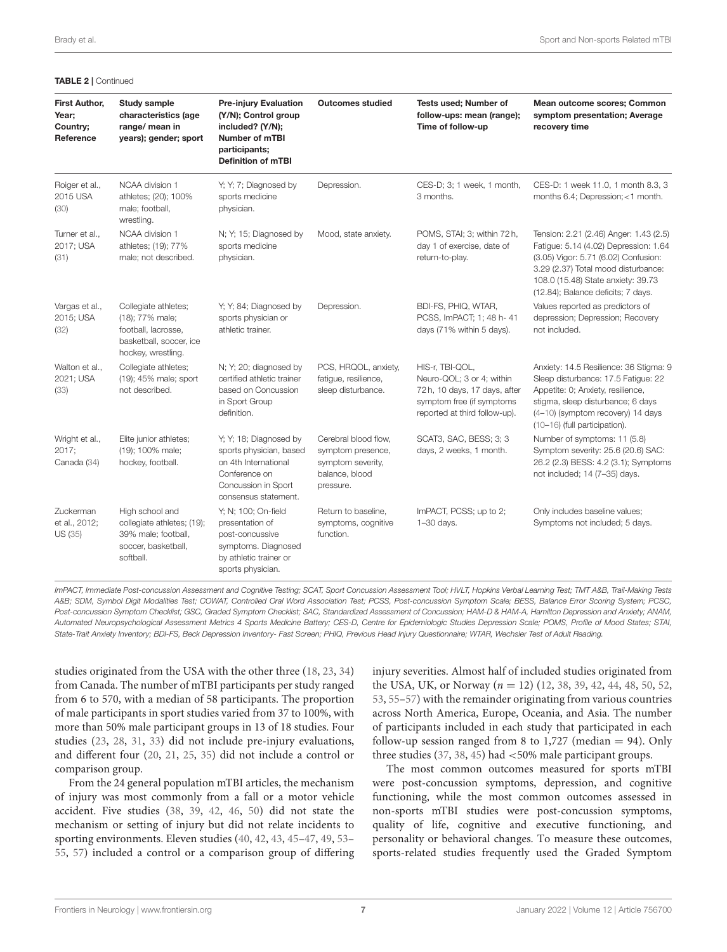| First Author,<br>Year;<br>Country;<br>Reference | Study sample<br>characteristics (age<br>range/ mean in<br>years); gender; sport                                 | <b>Pre-injury Evaluation</b><br>(Y/N); Control group<br>included? (Y/N);<br><b>Number of mTBI</b><br>participants;<br><b>Definition of mTBI</b> | <b>Outcomes studied</b>                                                                       | Tests used; Number of<br>follow-ups: mean (range);<br>Time of follow-up                                                                     | Mean outcome scores; Common<br>symptom presentation; Average<br>recovery time                                                                                                                                                              |
|-------------------------------------------------|-----------------------------------------------------------------------------------------------------------------|-------------------------------------------------------------------------------------------------------------------------------------------------|-----------------------------------------------------------------------------------------------|---------------------------------------------------------------------------------------------------------------------------------------------|--------------------------------------------------------------------------------------------------------------------------------------------------------------------------------------------------------------------------------------------|
| Roiger et al.,<br>2015 USA<br>(30)              | NCAA division 1<br>athletes; (20); 100%<br>male; football,<br>wrestling.                                        | Y; Y; 7; Diagnosed by<br>sports medicine<br>physician.                                                                                          | Depression.                                                                                   | CES-D; 3; 1 week, 1 month,<br>3 months.                                                                                                     | CES-D: 1 week 11.0, 1 month 8.3, 3<br>months 6.4; Depression; <1 month.                                                                                                                                                                    |
| Turner et al.,<br>2017; USA<br>(31)             | NCAA division 1<br>athletes; (19); 77%<br>male; not described.                                                  | N; Y; 15; Diagnosed by<br>sports medicine<br>physician.                                                                                         | Mood, state anxiety.                                                                          | POMS, STAI; 3; within 72 h,<br>day 1 of exercise, date of<br>return-to-play.                                                                | Tension: 2.21 (2.46) Anger: 1.43 (2.5)<br>Fatigue: 5.14 (4.02) Depression: 1.64<br>(3.05) Vigor: 5.71 (6.02) Confusion:<br>3.29 (2.37) Total mood disturbance:<br>108.0 (15.48) State anxiety: 39.73<br>(12.84); Balance deficits; 7 days. |
| Vargas et al.,<br>2015; USA<br>(32)             | Collegiate athletes;<br>(18); 77% male;<br>football, lacrosse,<br>basketball, soccer, ice<br>hockey, wrestling. | Y; Y; 84; Diagnosed by<br>sports physician or<br>athletic trainer.                                                                              | Depression.                                                                                   | BDI-FS, PHIQ, WTAR,<br>PCSS, ImPACT; 1; 48 h- 41<br>days (71% within 5 days).                                                               | Values reported as predictors of<br>depression; Depression; Recovery<br>not included.                                                                                                                                                      |
| Walton et al.,<br>2021; USA<br>(33)             | Collegiate athletes;<br>(19); 45% male; sport<br>not described.                                                 | N; Y; 20; diagnosed by<br>certified athletic trainer<br>based on Concussion<br>in Sport Group<br>definition.                                    | PCS, HRQOL, anxiety,<br>fatique, resilience,<br>sleep disturbance.                            | HIS-r, TBI-QOL,<br>Neuro-QOL; 3 or 4; within<br>72 h, 10 days, 17 days, after<br>symptom free (if symptoms<br>reported at third follow-up). | Anxiety: 14.5 Resilience: 36 Stigma: 9<br>Sleep disturbance: 17.5 Fatique: 22<br>Appetite: 0; Anxiety, resilience,<br>stigma, sleep disturbance; 6 days<br>(4-10) (symptom recovery) 14 days<br>(10-16) (full participation).              |
| Wright et al.,<br>2017:<br>Canada (34)          | Elite junior athletes;<br>(19); 100% male;<br>hockey, football.                                                 | Y; Y; 18; Diagnosed by<br>sports physician, based<br>on 4th International<br>Conference on<br>Concussion in Sport<br>consensus statement.       | Cerebral blood flow,<br>symptom presence,<br>symptom severity,<br>balance, blood<br>pressure. | SCAT3, SAC, BESS; 3; 3<br>days, 2 weeks, 1 month.                                                                                           | Number of symptoms: 11 (5.8)<br>Symptom severity: 25.6 (20.6) SAC:<br>26.2 (2.3) BESS: 4.2 (3.1); Symptoms<br>not included; 14 (7-35) days.                                                                                                |
| Zuckerman<br>et al., 2012;<br>US (35)           | High school and<br>collegiate athletes; (19);<br>39% male; football,<br>soccer, basketball,<br>softball.        | Y; N; 100; On-field<br>presentation of<br>post-concussive<br>symptoms. Diagnosed<br>by athletic trainer or<br>sports physician.                 | Return to baseline,<br>symptoms, cognitive<br>function.                                       | ImPACT, PCSS; up to 2;<br>$1 - 30$ days.                                                                                                    | Only includes baseline values;<br>Symptoms not included; 5 days.                                                                                                                                                                           |

#### TABLE 2 | Continued

*ImPACT, Immediate Post-concussion Assessment and Cognitive Testing; SCAT, Sport Concussion Assessment Tool; HVLT, Hopkins Verbal Learning Test; TMT A&B, Trail-Making Tests A&B; SDM, Symbol Digit Modalities Test; COWAT, Controlled Oral Word Association Test; PCSS, Post-concussion Symptom Scale; BESS, Balance Error Scoring System; PCSC, Post-concussion Symptom Checklist; GSC, Graded Symptom Checklist; SAC, Standardized Assessment of Concussion; HAM-D & HAM-A, Hamilton Depression and Anxiety; ANAM, Automated Neuropsychological Assessment Metrics 4 Sports Medicine Battery; CES-D, Centre for Epidemiologic Studies Depression Scale; POMS, Profile of Mood States; STAI, State-Trait Anxiety Inventory; BDI-FS, Beck Depression Inventory- Fast Screen; PHIQ, Previous Head Injury Questionnaire; WTAR, Wechsler Test of Adult Reading.*

studies originated from the USA with the other three [\(18,](#page-13-3) [23,](#page-13-10) [34\)](#page-13-9) from Canada. The number of mTBI participants per study ranged from 6 to 570, with a median of 58 participants. The proportion of male participants in sport studies varied from 37 to 100%, with more than 50% male participant groups in 13 of 18 studies. Four studies [\(23,](#page-13-10) [28,](#page-13-17) [31,](#page-13-11) [33\)](#page-13-12) did not include pre-injury evaluations, and different four [\(20,](#page-13-14) [21,](#page-13-4) [25,](#page-13-16) [35\)](#page-13-20) did not include a control or comparison group.

From the 24 general population mTBI articles, the mechanism of injury was most commonly from a fall or a motor vehicle accident. Five studies [\(38,](#page-13-1) [39,](#page-13-21) [42,](#page-13-22) [46,](#page-13-23) [50\)](#page-13-24) did not state the mechanism or setting of injury but did not relate incidents to sporting environments. Eleven studies [\(40,](#page-13-2) [42,](#page-13-22) [43,](#page-13-25) [45–](#page-13-26)[47,](#page-13-27) [49,](#page-13-28) [53–](#page-13-29) [55,](#page-14-2) [57\)](#page-14-1) included a control or a comparison group of differing injury severities. Almost half of included studies originated from the USA, UK, or Norway ( $n = 12$ ) [\(12,](#page-12-11) [38,](#page-13-1) [39,](#page-13-21) [42,](#page-13-22) [44,](#page-13-30) [48,](#page-13-31) [50,](#page-13-24) [52,](#page-13-32) [53,](#page-13-29) [55](#page-14-2)[–57\)](#page-14-1) with the remainder originating from various countries across North America, Europe, Oceania, and Asia. The number of participants included in each study that participated in each follow-up session ranged from 8 to  $1,727$  (median  $= 94$ ). Only three studies [\(37,](#page-13-33) [38,](#page-13-1) [45\)](#page-13-26) had <50% male participant groups.

The most common outcomes measured for sports mTBI were post-concussion symptoms, depression, and cognitive functioning, while the most common outcomes assessed in non-sports mTBI studies were post-concussion symptoms, quality of life, cognitive and executive functioning, and personality or behavioral changes. To measure these outcomes, sports-related studies frequently used the Graded Symptom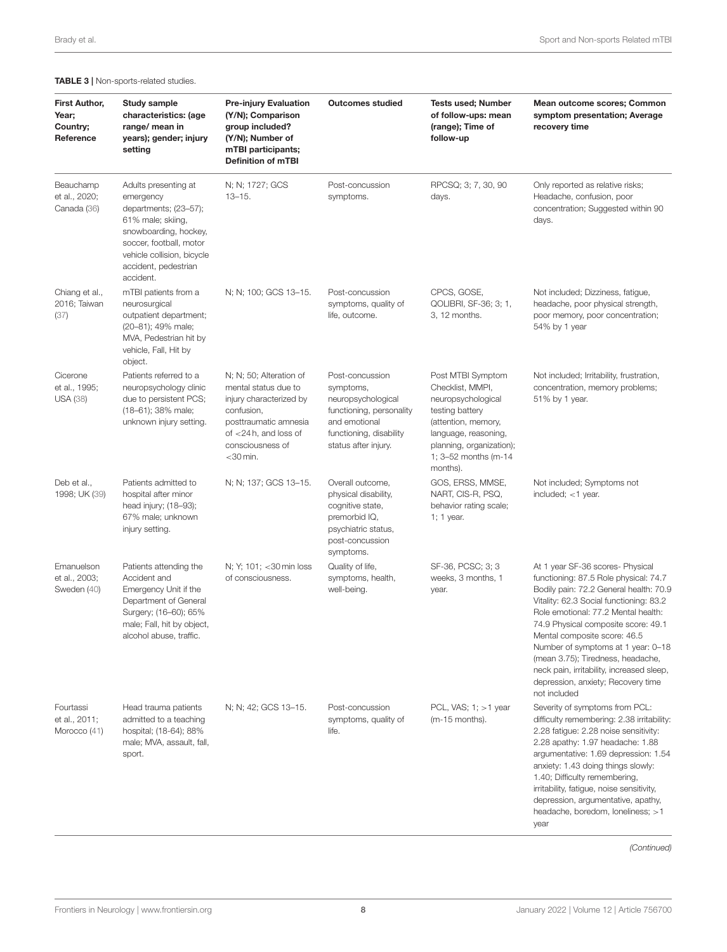### <span id="page-7-0"></span>TABLE 3 | Non-sports-related studies.

| <b>First Author,</b><br>Year;<br>Country;<br>Reference | Study sample<br>characteristics: (age<br>range/ mean in<br>years); gender; injury<br>setting                                                                                                           | <b>Pre-injury Evaluation</b><br>(Y/N); Comparison<br>group included?<br>(Y/N); Number of<br>mTBI participants;<br><b>Definition of mTBI</b>                                      | <b>Outcomes studied</b>                                                                                                                            | <b>Tests used; Number</b><br>of follow-ups: mean<br>(range); Time of<br>follow-up                                                                                                             | Mean outcome scores; Common<br>symptom presentation; Average<br>recovery time                                                                                                                                                                                                                                                                                                                                                                              |
|--------------------------------------------------------|--------------------------------------------------------------------------------------------------------------------------------------------------------------------------------------------------------|----------------------------------------------------------------------------------------------------------------------------------------------------------------------------------|----------------------------------------------------------------------------------------------------------------------------------------------------|-----------------------------------------------------------------------------------------------------------------------------------------------------------------------------------------------|------------------------------------------------------------------------------------------------------------------------------------------------------------------------------------------------------------------------------------------------------------------------------------------------------------------------------------------------------------------------------------------------------------------------------------------------------------|
| Beauchamp<br>et al., 2020;<br>Canada (36)              | Adults presenting at<br>emergency<br>departments; (23-57);<br>61% male; skiing,<br>snowboarding, hockey,<br>soccer, football, motor<br>vehicle collision, bicycle<br>accident, pedestrian<br>accident. | N; N; 1727; GCS<br>$13 - 15.$                                                                                                                                                    | Post-concussion<br>symptoms.                                                                                                                       | RPCSQ; 3; 7, 30, 90<br>days.                                                                                                                                                                  | Only reported as relative risks;<br>Headache, confusion, poor<br>concentration; Suggested within 90<br>days.                                                                                                                                                                                                                                                                                                                                               |
| Chiang et al.,<br>2016; Taiwan<br>(37)                 | mTBI patients from a<br>neurosurgical<br>outpatient department;<br>(20–81); 49% male;<br>MVA, Pedestrian hit by<br>vehicle, Fall, Hit by<br>object.                                                    | N; N; 100; GCS 13-15.                                                                                                                                                            | Post-concussion<br>symptoms, quality of<br>life, outcome.                                                                                          | CPCS, GOSE,<br>QOLIBRI, SF-36; 3; 1,<br>3, 12 months.                                                                                                                                         | Not included; Dizziness, fatigue,<br>headache, poor physical strength,<br>poor memory, poor concentration;<br>54% by 1 year                                                                                                                                                                                                                                                                                                                                |
| Cicerone<br>et al., 1995;<br><b>USA (38)</b>           | Patients referred to a<br>neuropsychology clinic<br>due to persistent PCS;<br>(18-61); 38% male;<br>unknown injury setting.                                                                            | N; N; 50; Alteration of<br>mental status due to<br>injury characterized by<br>confusion,<br>posttraumatic amnesia<br>of $<$ 24 h, and loss of<br>consciousness of<br>$<$ 30 min. | Post-concussion<br>symptoms,<br>neuropsychological<br>functioning, personality<br>and emotional<br>functioning, disability<br>status after injury. | Post MTBI Symptom<br>Checklist, MMPI,<br>neuropsychological<br>testing battery<br>(attention, memory,<br>language, reasoning,<br>planning, organization);<br>1; 3-52 months (m-14<br>months). | Not included; Irritability, frustration,<br>concentration, memory problems;<br>51% by 1 year.                                                                                                                                                                                                                                                                                                                                                              |
| Deb et al.,<br>1998; UK (39)                           | Patients admitted to<br>hospital after minor<br>head injury; (18-93);<br>67% male; unknown<br>injury setting.                                                                                          | N; N; 137; GCS 13-15.                                                                                                                                                            | Overall outcome,<br>physical disability,<br>cognitive state,<br>premorbid IQ,<br>psychiatric status,<br>post-concussion<br>symptoms.               | GOS, ERSS, MMSE,<br>NART, CIS-R, PSQ,<br>behavior rating scale;<br>1; 1 year.                                                                                                                 | Not included; Symptoms not<br>included; $<$ 1 year.                                                                                                                                                                                                                                                                                                                                                                                                        |
| Emanuelson<br>et al., 2003;<br>Sweden (40)             | Patients attending the<br>Accident and<br>Emergency Unit if the<br>Department of General<br>Surgery; (16-60); 65%<br>male; Fall, hit by object,<br>alcohol abuse, traffic.                             | N; Y; 101; < 30 min loss<br>of consciousness.                                                                                                                                    | Quality of life,<br>symptoms, health,<br>well-being.                                                                                               | SF-36, PCSC; 3; 3<br>weeks, 3 months, 1<br>year.                                                                                                                                              | At 1 year SF-36 scores- Physical<br>functioning: 87.5 Role physical: 74.7<br>Bodily pain: 72.2 General health: 70.9<br>Vitality: 62.3 Social functioning: 83.2<br>Role emotional: 77.2 Mental health:<br>74.9 Physical composite score: 49.1<br>Mental composite score: 46.5<br>Number of symptoms at 1 year: 0-18<br>(mean 3.75); Tiredness, headache,<br>neck pain, irritability, increased sleep,<br>depression, anxiety; Recovery time<br>not included |
| Fourtassi<br>et al., 2011;<br>Morocco (41)             | Head trauma patients<br>admitted to a teaching<br>hospital; (18-64); 88%<br>male; MVA, assault, fall,<br>sport.                                                                                        | N; N; 42; GCS 13-15.                                                                                                                                                             | Post-concussion<br>symptoms, quality of<br>life.                                                                                                   | PCL, VAS; $1:$ > 1 year<br>(m-15 months).                                                                                                                                                     | Severity of symptoms from PCL:<br>difficulty remembering: 2.38 irritability:<br>2.28 fatigue: 2.28 noise sensitivity:<br>2.28 apathy: 1.97 headache: 1.88<br>argumentative: 1.69 depression: 1.54<br>anxiety: 1.43 doing things slowly:<br>1.40; Difficulty remembering,<br>irritability, fatigue, noise sensitivity,<br>depression, argumentative, apathy,<br>headache, boredom, loneliness; >1<br>year                                                   |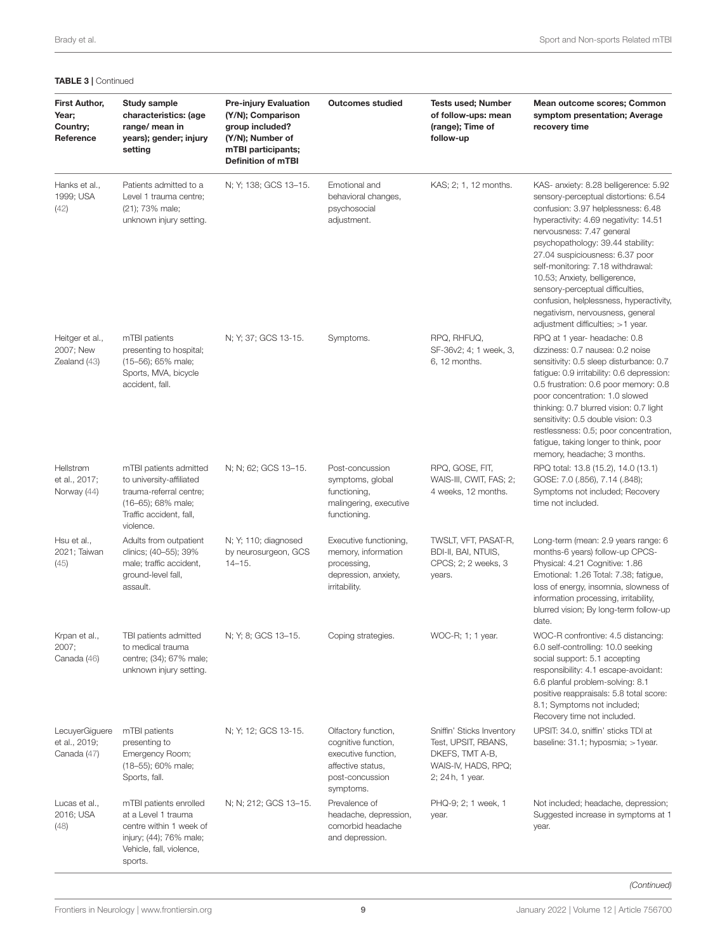| <b>TABLE 3   Continued</b>                             |                                                                                                                                             |                                                                                                                                             |                                                                                                                        |                                                                                                                |                                                                                                                                                                                                                                                                                                                                                                                                                                                                                                   |
|--------------------------------------------------------|---------------------------------------------------------------------------------------------------------------------------------------------|---------------------------------------------------------------------------------------------------------------------------------------------|------------------------------------------------------------------------------------------------------------------------|----------------------------------------------------------------------------------------------------------------|---------------------------------------------------------------------------------------------------------------------------------------------------------------------------------------------------------------------------------------------------------------------------------------------------------------------------------------------------------------------------------------------------------------------------------------------------------------------------------------------------|
| <b>First Author,</b><br>Year;<br>Country;<br>Reference | Study sample<br>characteristics: (age<br>range/ mean in<br>years); gender; injury<br>setting                                                | <b>Pre-injury Evaluation</b><br>(Y/N); Comparison<br>group included?<br>(Y/N); Number of<br>mTBI participants;<br><b>Definition of mTBI</b> | <b>Outcomes studied</b>                                                                                                | <b>Tests used; Number</b><br>of follow-ups: mean<br>(range); Time of<br>follow-up                              | Mean outcome scores; Common<br>symptom presentation; Average<br>recovery time                                                                                                                                                                                                                                                                                                                                                                                                                     |
| Hanks et al.,<br>1999; USA<br>(42)                     | Patients admitted to a<br>Level 1 trauma centre;<br>(21); 73% male;<br>unknown injury setting.                                              | N; Y; 138; GCS 13-15.                                                                                                                       | Emotional and<br>behavioral changes,<br>psychosocial<br>adjustment.                                                    | KAS; 2; 1, 12 months.                                                                                          | KAS- anxiety: 8.28 belligerence: 5.92<br>sensory-perceptual distortions: 6.54<br>confusion: 3.97 helplessness: 6.48<br>hyperactivity: 4.69 negativity: 14.51<br>nervousness: 7.47 general<br>psychopathology: 39.44 stability:<br>27.04 suspiciousness: 6.37 poor<br>self-monitoring: 7.18 withdrawal:<br>10.53; Anxiety, belligerence,<br>sensory-perceptual difficulties,<br>confusion, helplessness, hyperactivity,<br>negativism, nervousness, general<br>adjustment difficulties; $>1$ year. |
| Heitger et al.,<br>2007; New<br>Zealand (43)           | mTBI patients<br>presenting to hospital;<br>(15-56); 65% male;<br>Sports, MVA, bicycle<br>accident, fall.                                   | N; Y; 37; GCS 13-15.                                                                                                                        | Symptoms.                                                                                                              | RPQ, RHFUQ,<br>SF-36v2; 4; 1 week, 3,<br>6, 12 months.                                                         | RPQ at 1 year- headache: 0.8<br>dizziness: 0.7 nausea: 0.2 noise<br>sensitivity: 0.5 sleep disturbance: 0.7<br>fatigue: 0.9 irritability: 0.6 depression:<br>0.5 frustration: 0.6 poor memory: 0.8<br>poor concentration: 1.0 slowed<br>thinking: 0.7 blurred vision: 0.7 light<br>sensitivity: 0.5 double vision: 0.3<br>restlessness: 0.5; poor concentration,<br>fatigue, taking longer to think, poor<br>memory, headache; 3 months.                                                          |
| Hellstrøm<br>et al., 2017;<br>Norway (44)              | mTBI patients admitted<br>to university-affiliated<br>trauma-referral centre;<br>(16-65); 68% male;<br>Traffic accident, fall,<br>violence. | N; N; 62; GCS 13-15.                                                                                                                        | Post-concussion<br>symptoms, global<br>functioning,<br>malingering, executive<br>functioning.                          | RPQ, GOSE, FIT,<br>WAIS-III, CWIT, FAS; 2;<br>4 weeks, 12 months.                                              | RPQ total: 13.8 (15.2), 14.0 (13.1)<br>GOSE: 7.0 (.856), 7.14 (.848);<br>Symptoms not included; Recovery<br>time not included.                                                                                                                                                                                                                                                                                                                                                                    |
| Hsu et al.,<br>2021; Taiwan<br>(45)                    | Adults from outpatient<br>clinics; (40-55); 39%<br>male; traffic accident,<br>ground-level fall,<br>assault.                                | N; Y; 110; diagnosed<br>by neurosurgeon, GCS<br>$14 - 15.$                                                                                  | Executive functioning,<br>memory, information<br>processing,<br>depression, anxiety,<br>irritability.                  | TWSLT, VFT, PASAT-R,<br>BDI-II, BAI, NTUIS,<br>CPCS; 2; 2 weeks, 3<br>years.                                   | Long-term (mean: 2.9 years range: 6<br>months-6 years) follow-up CPCS-<br>Physical: 4.21 Cognitive: 1.86<br>Emotional: 1.26 Total: 7.38; fatique,<br>loss of energy, insomnia, slowness of<br>information processing, irritability,<br>blurred vision; By long-term follow-up<br>date.                                                                                                                                                                                                            |
| Krpan et al.,<br>2007;<br>Canada (46)                  | TBI patients admitted<br>to medical trauma<br>centre; (34); 67% male;<br>unknown injury setting.                                            | N; Y; 8; GCS 13-15.                                                                                                                         | Coping strategies.                                                                                                     | WOC-R; 1; 1 year.                                                                                              | WOC-R confrontive: 4.5 distancing:<br>6.0 self-controlling: 10.0 seeking<br>social support: 5.1 accepting<br>responsibility: 4.1 escape-avoidant:<br>6.6 planful problem-solving: 8.1<br>positive reappraisals: 5.8 total score:<br>8.1; Symptoms not included;<br>Recovery time not included.                                                                                                                                                                                                    |
| LecuyerGiguere<br>et al., 2019;<br>Canada (47)         | mTBI patients<br>presenting to<br>Emergency Room;<br>(18-55); 60% male;<br>Sports, fall.                                                    | N; Y; 12; GCS 13-15.                                                                                                                        | Olfactory function,<br>cognitive function,<br>executive function,<br>affective status,<br>post-concussion<br>symptoms. | Sniffin' Sticks Inventory<br>Test, UPSIT, RBANS,<br>DKEFS, TMT A-B,<br>WAIS-IV, HADS, RPQ;<br>2; 24 h, 1 year. | UPSIT: 34.0, sniffin' sticks TDI at<br>baseline: 31.1; hyposmia; >1year.                                                                                                                                                                                                                                                                                                                                                                                                                          |
| Lucas et al.,<br>2016; USA<br>(48)                     | mTBI patients enrolled<br>at a Level 1 trauma<br>centre within 1 week of<br>injury; (44); 76% male;<br>Vehicle, fall, violence,<br>sports.  | N; N; 212; GCS 13-15.                                                                                                                       | Prevalence of<br>headache, depression,<br>comorbid headache<br>and depression.                                         | PHQ-9; 2; 1 week, 1<br>year.                                                                                   | Not included; headache, depression;<br>Suggested increase in symptoms at 1<br>year.                                                                                                                                                                                                                                                                                                                                                                                                               |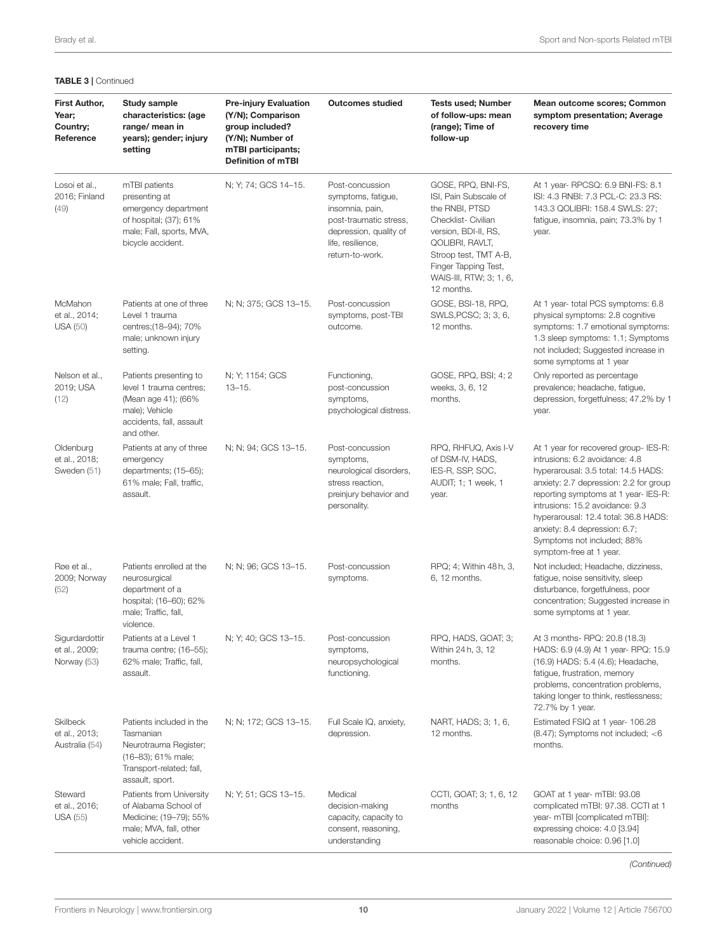| <b>First Author,</b><br>Year;<br>Country;<br>Reference | Study sample<br>characteristics: (age<br>range/ mean in<br>years); gender; injury<br>setting                                         | <b>Pre-injury Evaluation</b><br>(Y/N); Comparison<br>group included?<br>(Y/N); Number of<br>mTBI participants;<br><b>Definition of mTBI</b> | <b>Outcomes studied</b>                                                                                                                              | <b>Tests used; Number</b><br>of follow-ups: mean<br>(range); Time of<br>follow-up                                                                                                                                         | Mean outcome scores; Common<br>symptom presentation; Average<br>recovery time                                                                                                                                                                                                                                                                                         |
|--------------------------------------------------------|--------------------------------------------------------------------------------------------------------------------------------------|---------------------------------------------------------------------------------------------------------------------------------------------|------------------------------------------------------------------------------------------------------------------------------------------------------|---------------------------------------------------------------------------------------------------------------------------------------------------------------------------------------------------------------------------|-----------------------------------------------------------------------------------------------------------------------------------------------------------------------------------------------------------------------------------------------------------------------------------------------------------------------------------------------------------------------|
| Losoi et al.,<br>2016; Finland<br>(49)                 | mTBI patients<br>presenting at<br>emergency department<br>of hospital; (37); 61%<br>male; Fall, sports, MVA,<br>bicycle accident.    | N; Y; 74; GCS 14-15.                                                                                                                        | Post-concussion<br>symptoms, fatigue,<br>insomnia, pain,<br>post-traumatic stress,<br>depression, quality of<br>life, resilience,<br>return-to-work. | GOSE, RPQ, BNI-FS,<br>ISI, Pain Subscale of<br>the RNBI, PTSD<br>Checklist- Civilian<br>version, BDI-II, RS,<br>QOLIBRI, RAVLT,<br>Stroop test, TMT A-B,<br>Finger Tapping Test,<br>WAIS-III, RTW; 3; 1, 6,<br>12 months. | At 1 year- RPCSQ: 6.9 BNI-FS: 8.1<br>ISI: 4.3 RNBI: 7.3 PCL-C: 23.3 RS:<br>143.3 QOLIBRI: 158.4 SWLS: 27:<br>fatigue, insomnia, pain; 73.3% by 1<br>year.                                                                                                                                                                                                             |
| McMahon<br>et al., 2014;<br><b>USA (50)</b>            | Patients at one of three<br>Level 1 trauma<br>centres; (18-94); 70%<br>male; unknown injury<br>setting.                              | N; N; 375; GCS 13-15.                                                                                                                       | Post-concussion<br>symptoms, post-TBI<br>outcome.                                                                                                    | GOSE, BSI-18, RPQ,<br>SWLS, PCSC; 3; 3, 6,<br>12 months.                                                                                                                                                                  | At 1 year- total PCS symptoms: 6.8<br>physical symptoms: 2.8 cognitive<br>symptoms: 1.7 emotional symptoms:<br>1.3 sleep symptoms: 1.1; Symptoms<br>not included; Suggested increase in<br>some symptoms at 1 year                                                                                                                                                    |
| Nelson et al.,<br>2019; USA<br>(12)                    | Patients presenting to<br>level 1 trauma centres;<br>(Mean age 41); (66%<br>male); Vehicle<br>accidents, fall, assault<br>and other. | N: Y: 1154; GCS<br>$13 - 15.$                                                                                                               | Functioning,<br>post-concussion<br>symptoms,<br>psychological distress.                                                                              | GOSE, RPQ, BSI; 4; 2<br>weeks, 3, 6, 12<br>months.                                                                                                                                                                        | Only reported as percentage<br>prevalence; headache, fatigue,<br>depression, forgetfulness; 47.2% by 1<br>year.                                                                                                                                                                                                                                                       |
| Oldenburg<br>et al., 2018;<br>Sweden (51)              | Patients at any of three<br>emergency<br>departments; (15-65);<br>61% male; Fall, traffic,<br>assault.                               | N; N; 94; GCS 13-15.                                                                                                                        | Post-concussion<br>symptoms,<br>neurological disorders,<br>stress reaction.<br>preinjury behavior and<br>personality.                                | RPQ, RHFUQ, Axis I-V<br>of DSM-IV, HADS,<br>IES-R, SSP, SOC,<br>AUDIT; 1; 1 week, 1<br>year.                                                                                                                              | At 1 year for recovered group- IES-R:<br>intrusions: 6.2 avoidance: 4.8<br>hyperarousal: 3.5 total: 14.5 HADS:<br>anxiety: 2.7 depression: 2.2 for group<br>reporting symptoms at 1 year- IES-R:<br>intrusions: 15.2 avoidance: 9.3<br>hyperarousal: 12.4 total: 36.8 HADS:<br>anxiety: 8.4 depression: 6.7;<br>Symptoms not included; 88%<br>symptom-free at 1 year. |
| Røe et al.,<br>2009; Norway<br>(52)                    | Patients enrolled at the<br>neurosurgical<br>department of a<br>hospital; (16-60); 62%<br>male; Traffic, fall,<br>violence.          | N: N: 96: GCS 13-15.                                                                                                                        | Post-concussion<br>symptoms.                                                                                                                         | RPQ; 4; Within 48 h, 3,<br>6, 12 months.                                                                                                                                                                                  | Not included; Headache, dizziness,<br>fatigue, noise sensitivity, sleep<br>disturbance, forgetfulness, poor<br>concentration; Suggested increase in<br>some symptoms at 1 year.                                                                                                                                                                                       |
| Sigurdardottir<br>et al., 2009;<br>Norway (53)         | Patients at a Level 1<br>trauma centre; (16-55);<br>62% male; Traffic, fall,<br>assault.                                             | N; Y; 40; GCS 13-15.                                                                                                                        | Post-concussion<br>symptoms,<br>neuropsychological<br>functioning.                                                                                   | RPQ, HADS, GOAT; 3;<br>Within 24 h, 3, 12<br>months.                                                                                                                                                                      | At 3 months- RPQ: 20.8 (18.3)<br>HADS: 6.9 (4.9) At 1 year- RPQ: 15.9<br>(16.9) HADS: 5.4 (4.6); Headache,<br>fatigue, frustration, memory<br>problems, concentration problems,<br>taking longer to think, restlessness;<br>72.7% by 1 year.                                                                                                                          |
| <b>Skilbeck</b><br>et al., 2013;<br>Australia (54)     | Patients included in the<br>Tasmanian<br>Neurotrauma Register;<br>(16-83); 61% male;<br>Transport-related; fall,<br>assault, sport.  | N; N; 172; GCS 13-15.                                                                                                                       | Full Scale IQ, anxiety,<br>depression.                                                                                                               | NART, HADS; 3; 1, 6,<br>12 months.                                                                                                                                                                                        | Estimated FSIQ at 1 year- 106.28<br>$(8.47)$ ; Symptoms not included; $< 6$<br>months.                                                                                                                                                                                                                                                                                |
| Steward<br>et al., 2016;<br><b>USA (55)</b>            | Patients from University<br>of Alabama School of<br>Medicine; (19-79); 55%<br>male; MVA, fall, other<br>vehicle accident.            | N; Y; 51; GCS 13-15.                                                                                                                        | Medical<br>decision-making<br>capacity, capacity to<br>consent, reasoning,<br>understanding                                                          | CCTI, GOAT; 3; 1, 6, 12<br>months                                                                                                                                                                                         | GOAT at 1 year- mTBI: 93.08<br>complicated mTBI: 97.38. CCTI at 1<br>year- mTBI [complicated mTBI]:<br>expressing choice: 4.0 [3.94]<br>reasonable choice: 0.96 [1.0]                                                                                                                                                                                                 |

### TABLE 3 | Continued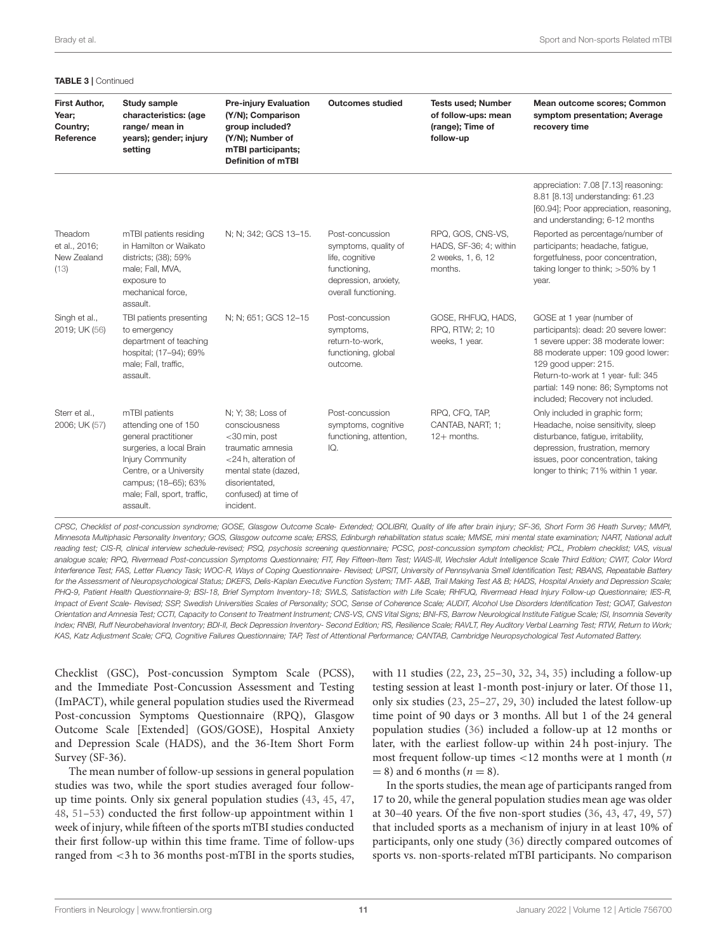| <b>TABLE 3   Continued</b>                      |                                                                                                                                                                                                                    |                                                                                                                                                                                 |                                                                                                                            |                                                                                   |                                                                                                                                                                                                                                                                                          |
|-------------------------------------------------|--------------------------------------------------------------------------------------------------------------------------------------------------------------------------------------------------------------------|---------------------------------------------------------------------------------------------------------------------------------------------------------------------------------|----------------------------------------------------------------------------------------------------------------------------|-----------------------------------------------------------------------------------|------------------------------------------------------------------------------------------------------------------------------------------------------------------------------------------------------------------------------------------------------------------------------------------|
| First Author,<br>Year;<br>Country;<br>Reference | Study sample<br>characteristics: (age<br>range/ mean in<br>years); gender; injury<br>setting                                                                                                                       | <b>Pre-injury Evaluation</b><br>(Y/N); Comparison<br>group included?<br>(Y/N); Number of<br>mTBI participants;<br><b>Definition of mTBI</b>                                     | <b>Outcomes studied</b>                                                                                                    | <b>Tests used; Number</b><br>of follow-ups: mean<br>(range); Time of<br>follow-up | Mean outcome scores; Common<br>symptom presentation; Average<br>recovery time                                                                                                                                                                                                            |
|                                                 |                                                                                                                                                                                                                    |                                                                                                                                                                                 |                                                                                                                            |                                                                                   | appreciation: 7.08 [7.13] reasoning:<br>8.81 [8.13] understanding: 61.23<br>[60.94]; Poor appreciation, reasoning,<br>and understanding; 6-12 months                                                                                                                                     |
| Theadom<br>et al., 2016;<br>New Zealand<br>(13) | mTBI patients residing<br>in Hamilton or Waikato<br>districts; (38); 59%<br>male; Fall, MVA,<br>exposure to<br>mechanical force,<br>assault.                                                                       | N; N; 342; GCS 13-15.                                                                                                                                                           | Post-concussion<br>symptoms, quality of<br>life, cognitive<br>functioning,<br>depression, anxiety,<br>overall functioning. | RPQ, GOS, CNS-VS,<br>HADS, SF-36; 4; within<br>2 weeks, 1, 6, 12<br>months.       | Reported as percentage/number of<br>participants; headache, fatique,<br>forgetfulness, poor concentration,<br>taking longer to think; >50% by 1<br>year.                                                                                                                                 |
| Singh et al.,<br>2019; UK (56)                  | TBI patients presenting<br>to emergency<br>department of teaching<br>hospital; (17-94); 69%<br>male; Fall, traffic,<br>assault.                                                                                    | N; N; 651; GCS 12-15                                                                                                                                                            | Post-concussion<br>symptoms,<br>return-to-work.<br>functioning, global<br>outcome.                                         | GOSE, RHFUQ, HADS,<br>RPQ, RTW; 2; 10<br>weeks, 1 year.                           | GOSE at 1 year (number of<br>participants): dead: 20 severe lower:<br>1 severe upper: 38 moderate lower:<br>88 moderate upper: 109 good lower:<br>129 good upper: 215.<br>Return-to-work at 1 year- full: 345<br>partial: 149 none: 86; Symptoms not<br>included; Recovery not included. |
| Sterr et al.,<br>2006; UK (57)                  | mTBI patients<br>attending one of 150<br>general practitioner<br>surgeries, a local Brain<br><b>Injury Community</b><br>Centre, or a University<br>campus; (18-65); 63%<br>male; Fall, sport, traffic,<br>assault. | N; Y; 38; Loss of<br>consciousness<br><30 min, post<br>traumatic amnesia<br><24 h, alteration of<br>mental state (dazed,<br>disorientated,<br>confused) at time of<br>incident. | Post-concussion<br>symptoms, cognitive<br>functioning, attention,<br>IQ.                                                   | RPQ, CFQ, TAP,<br>CANTAB, NART; 1;<br>$12+$ months.                               | Only included in graphic form;<br>Headache, noise sensitivity, sleep<br>disturbance, fatigue, irritability,<br>depression, frustration, memory<br>issues, poor concentration, taking<br>longer to think; 71% within 1 year.                                                              |

*CPSC, Checklist of post-concussion syndrome; GOSE, Glasgow Outcome Scale- Extended; QOLIBRI, Quality of life after brain injury; SF-36, Short Form 36 Heath Survey; MMPI, Minnesota Multiphasic Personality Inventory; GOS, Glasgow outcome scale; ERSS, Edinburgh rehabilitation status scale; MMSE, mini mental state examination; NART, National adult reading test; CIS-R, clinical interview schedule-revised; PSQ, psychosis screening questionnaire; PCSC, post-concussion symptom checklist; PCL, Problem checklist; VAS, visual analogue scale; RPQ, Rivermead Post-concussion Symptoms Questionnaire; FIT, Rey Fifteen-Item Test; WAIS-III, Wechsler Adult Intelligence Scale Third Edition; CWIT, Color Word Interference Test; FAS, Letter Fluency Task; WOC-R, Ways of Coping Questionnaire- Revised; UPSIT, University of Pennsylvania Smell Identification Test; RBANS, Repeatable Battery for the Assessment of Neuropsychological Status; DKEFS, Delis-Kaplan Executive Function System; TMT- A&B, Trail Making Test A& B; HADS, Hospital Anxiety and Depression Scale; PHQ-9, Patient Health Questionnaire-9; BSI-18, Brief Symptom Inventory-18; SWLS, Satisfaction with Life Scale; RHFUQ, Rivermead Head Injury Follow-up Questionnaire; IES-R, Impact of Event Scale- Revised; SSP, Swedish Universities Scales of Personality; SOC, Sense of Coherence Scale; AUDIT, Alcohol Use Disorders Identification Test; GOAT, Galveston* Orientation and Amnesia Test; CCTI, Capacity to Consent to Treatment Instrument; CNS-VS, CNS Vital Signs; BNI-FS, Barrow Neurological Institute Fatigue Scale; ISI, Insomnia Severity *Index; RNBI, Ruff Neurobehavioral Inventory; BDI-II, Beck Depression Inventory- Second Edition; RS, Resilience Scale; RAVLT, Rey Auditory Verbal Learning Test; RTW, Return to Work; KAS, Katz Adjustment Scale; CFQ, Cognitive Failures Questionnaire; TAP, Test of Attentional Performance; CANTAB, Cambridge Neuropsychological Test Automated Battery.*

Checklist (GSC), Post-concussion Symptom Scale (PCSS), and the Immediate Post-Concussion Assessment and Testing (ImPACT), while general population studies used the Rivermead Post-concussion Symptoms Questionnaire (RPQ), Glasgow Outcome Scale [Extended] (GOS/GOSE), Hospital Anxiety and Depression Scale (HADS), and the 36-Item Short Form Survey (SF-36).

The mean number of follow-up sessions in general population studies was two, while the sport studies averaged four followup time points. Only six general population studies [\(43,](#page-13-25) [45,](#page-13-26) [47,](#page-13-27) [48,](#page-13-31) [51](#page-13-35)[–53\)](#page-13-29) conducted the first follow-up appointment within 1 week of injury, while fifteen of the sports mTBI studies conducted their first follow-up within this time frame. Time of follow-ups ranged from <3 h to 36 months post-mTBI in the sports studies, with 11 studies [\(22,](#page-13-15) [23,](#page-13-10) [25–](#page-13-16)[30,](#page-13-18) [32,](#page-13-19) [34,](#page-13-9) [35\)](#page-13-20) including a follow-up testing session at least 1-month post-injury or later. Of those 11, only six studies [\(23,](#page-13-10) [25–](#page-13-16)[27,](#page-13-7) [29,](#page-13-8) [30\)](#page-13-18) included the latest follow-up time point of 90 days or 3 months. All but 1 of the 24 general population studies [\(36\)](#page-13-0) included a follow-up at 12 months or later, with the earliest follow-up within 24 h post-injury. The most frequent follow-up times  $<$ 12 months were at 1 month (*n*  $= 8$ ) and 6 months ( $n = 8$ ).

In the sports studies, the mean age of participants ranged from 17 to 20, while the general population studies mean age was older at 30–40 years. Of the five non-sport studies [\(36,](#page-13-0) [43,](#page-13-25) [47,](#page-13-27) [49,](#page-13-28) [57\)](#page-14-1) that included sports as a mechanism of injury in at least 10% of participants, only one study [\(36\)](#page-13-0) directly compared outcomes of sports vs. non-sports-related mTBI participants. No comparison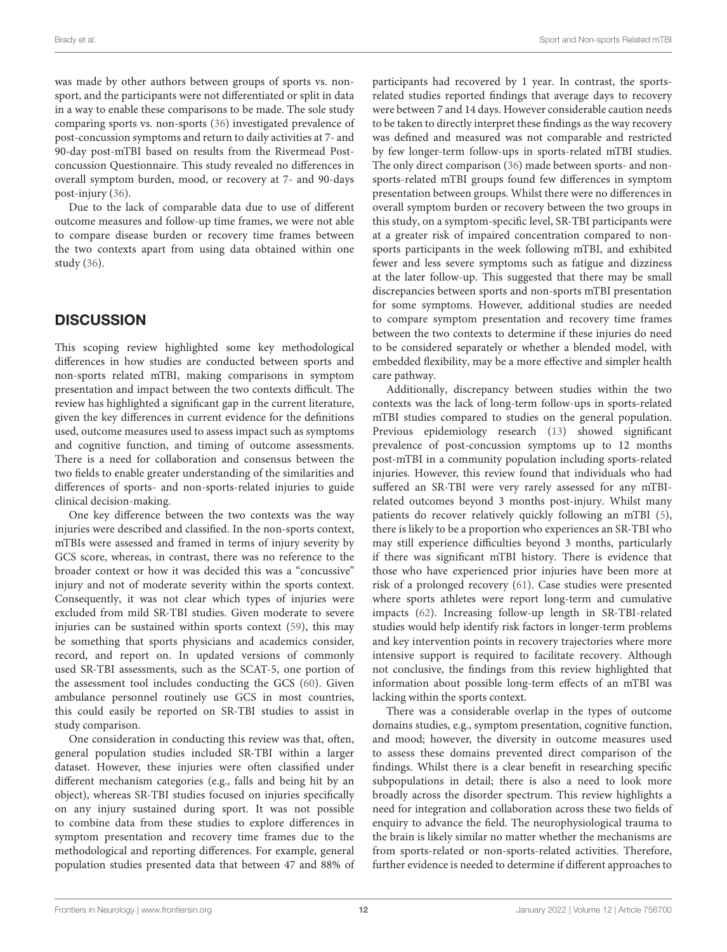was made by other authors between groups of sports vs. nonsport, and the participants were not differentiated or split in data in a way to enable these comparisons to be made. The sole study comparing sports vs. non-sports [\(36\)](#page-13-0) investigated prevalence of post-concussion symptoms and return to daily activities at 7- and 90-day post-mTBI based on results from the Rivermead Postconcussion Questionnaire. This study revealed no differences in overall symptom burden, mood, or recovery at 7- and 90-days post-injury [\(36\)](#page-13-0).

Due to the lack of comparable data due to use of different outcome measures and follow-up time frames, we were not able to compare disease burden or recovery time frames between the two contexts apart from using data obtained within one study [\(36\)](#page-13-0).

# **DISCUSSION**

This scoping review highlighted some key methodological differences in how studies are conducted between sports and non-sports related mTBI, making comparisons in symptom presentation and impact between the two contexts difficult. The review has highlighted a significant gap in the current literature, given the key differences in current evidence for the definitions used, outcome measures used to assess impact such as symptoms and cognitive function, and timing of outcome assessments. There is a need for collaboration and consensus between the two fields to enable greater understanding of the similarities and differences of sports- and non-sports-related injuries to guide clinical decision-making.

One key difference between the two contexts was the way injuries were described and classified. In the non-sports context, mTBIs were assessed and framed in terms of injury severity by GCS score, whereas, in contrast, there was no reference to the broader context or how it was decided this was a "concussive" injury and not of moderate severity within the sports context. Consequently, it was not clear which types of injuries were excluded from mild SR-TBI studies. Given moderate to severe injuries can be sustained within sports context [\(59\)](#page-14-5), this may be something that sports physicians and academics consider, record, and report on. In updated versions of commonly used SR-TBI assessments, such as the SCAT-5, one portion of the assessment tool includes conducting the GCS [\(60\)](#page-14-6). Given ambulance personnel routinely use GCS in most countries, this could easily be reported on SR-TBI studies to assist in study comparison.

One consideration in conducting this review was that, often, general population studies included SR-TBI within a larger dataset. However, these injuries were often classified under different mechanism categories (e.g., falls and being hit by an object), whereas SR-TBI studies focused on injuries specifically on any injury sustained during sport. It was not possible to combine data from these studies to explore differences in symptom presentation and recovery time frames due to the methodological and reporting differences. For example, general population studies presented data that between 47 and 88% of participants had recovered by 1 year. In contrast, the sportsrelated studies reported findings that average days to recovery were between 7 and 14 days. However considerable caution needs to be taken to directly interpret these findings as the way recovery was defined and measured was not comparable and restricted by few longer-term follow-ups in sports-related mTBI studies. The only direct comparison [\(36\)](#page-13-0) made between sports- and nonsports-related mTBI groups found few differences in symptom presentation between groups. Whilst there were no differences in overall symptom burden or recovery between the two groups in this study, on a symptom-specific level, SR-TBI participants were at a greater risk of impaired concentration compared to nonsports participants in the week following mTBI, and exhibited fewer and less severe symptoms such as fatigue and dizziness at the later follow-up. This suggested that there may be small discrepancies between sports and non-sports mTBI presentation for some symptoms. However, additional studies are needed to compare symptom presentation and recovery time frames between the two contexts to determine if these injuries do need to be considered separately or whether a blended model, with embedded flexibility, may be a more effective and simpler health care pathway.

Additionally, discrepancy between studies within the two contexts was the lack of long-term follow-ups in sports-related mTBI studies compared to studies on the general population. Previous epidemiology research [\(13\)](#page-12-12) showed significant prevalence of post-concussion symptoms up to 12 months post-mTBI in a community population including sports-related injuries. However, this review found that individuals who had suffered an SR-TBI were very rarely assessed for any mTBIrelated outcomes beyond 3 months post-injury. Whilst many patients do recover relatively quickly following an mTBI [\(5\)](#page-12-4), there is likely to be a proportion who experiences an SR-TBI who may still experience difficulties beyond 3 months, particularly if there was significant mTBI history. There is evidence that those who have experienced prior injuries have been more at risk of a prolonged recovery [\(61\)](#page-14-7). Case studies were presented where sports athletes were report long-term and cumulative impacts [\(62\)](#page-14-8). Increasing follow-up length in SR-TBI-related studies would help identify risk factors in longer-term problems and key intervention points in recovery trajectories where more intensive support is required to facilitate recovery. Although not conclusive, the findings from this review highlighted that information about possible long-term effects of an mTBI was lacking within the sports context.

There was a considerable overlap in the types of outcome domains studies, e.g., symptom presentation, cognitive function, and mood; however, the diversity in outcome measures used to assess these domains prevented direct comparison of the findings. Whilst there is a clear benefit in researching specific subpopulations in detail; there is also a need to look more broadly across the disorder spectrum. This review highlights a need for integration and collaboration across these two fields of enquiry to advance the field. The neurophysiological trauma to the brain is likely similar no matter whether the mechanisms are from sports-related or non-sports-related activities. Therefore, further evidence is needed to determine if different approaches to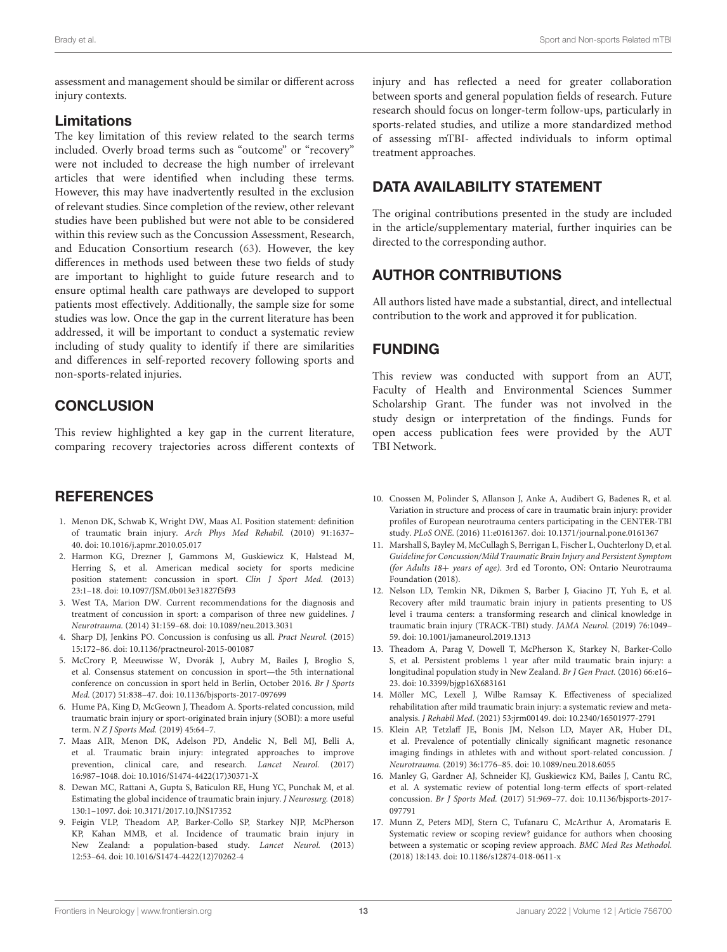assessment and management should be similar or different across injury contexts.

### Limitations

The key limitation of this review related to the search terms included. Overly broad terms such as "outcome" or "recovery" were not included to decrease the high number of irrelevant articles that were identified when including these terms. However, this may have inadvertently resulted in the exclusion of relevant studies. Since completion of the review, other relevant studies have been published but were not able to be considered within this review such as the Concussion Assessment, Research, and Education Consortium research [\(63\)](#page-14-9). However, the key differences in methods used between these two fields of study are important to highlight to guide future research and to ensure optimal health care pathways are developed to support patients most effectively. Additionally, the sample size for some studies was low. Once the gap in the current literature has been addressed, it will be important to conduct a systematic review including of study quality to identify if there are similarities and differences in self-reported recovery following sports and non-sports-related injuries.

# **CONCLUSION**

This review highlighted a key gap in the current literature, comparing recovery trajectories across different contexts of

### **REFERENCES**

- <span id="page-12-0"></span>1. Menon DK, Schwab K, Wright DW, Maas AI. Position statement: definition of traumatic brain injury. Arch Phys Med Rehabil. (2010) 91:1637– 40. doi: [10.1016/j.apmr.2010.05.017](https://doi.org/10.1016/j.apmr.2010.05.017)
- <span id="page-12-1"></span>2. Harmon KG, Drezner J, Gammons M, Guskiewicz K, Halstead M, Herring S, et al. American medical society for sports medicine position statement: concussion in sport. Clin J Sport Med. (2013) 23:1–18. doi: [10.1097/JSM.0b013e31827f5f93](https://doi.org/10.1097/JSM.0b013e31827f5f93)
- <span id="page-12-2"></span>3. West TA, Marion DW. Current recommendations for the diagnosis and treatment of concussion in sport: a comparison of three new guidelines. J Neurotrauma. (2014) 31:159–68. doi: [10.1089/neu.2013.3031](https://doi.org/10.1089/neu.2013.3031)
- <span id="page-12-3"></span>4. Sharp DJ, Jenkins PO. Concussion is confusing us all. Pract Neurol. (2015) 15:172–86. doi: [10.1136/practneurol-2015-001087](https://doi.org/10.1136/practneurol-2015-001087)
- <span id="page-12-4"></span>5. McCrory P, Meeuwisse W, Dvorák J, Aubry M, Bailes J, Broglio S, et al. Consensus statement on concussion in sport—the 5th international conference on concussion in sport held in Berlin, October 2016. Br J Sports Med. (2017) 51:838–47. doi: [10.1136/bjsports-2017-097699](https://doi.org/10.1136/bjsports-2017-097699)
- <span id="page-12-5"></span>6. Hume PA, King D, McGeown J, Theadom A. Sports-related concussion, mild traumatic brain injury or sport-originated brain injury (SOBI): a more useful term. N Z J Sports Med. (2019) 45:64–7.
- <span id="page-12-6"></span>7. Maas AIR, Menon DK, Adelson PD, Andelic N, Bell MJ, Belli A, et al. Traumatic brain injury: integrated approaches to improve prevention, clinical care, and research. Lancet Neurol. (2017) 16:987–1048. doi: [10.1016/S1474-4422\(17\)30371-X](https://doi.org/10.1016/S1474-4422(17)30371-X)
- <span id="page-12-7"></span>8. Dewan MC, Rattani A, Gupta S, Baticulon RE, Hung YC, Punchak M, et al. Estimating the global incidence of traumatic brain injury. J Neurosurg. (2018) 130:1–1097. doi: [10.3171/2017.10.JNS17352](https://doi.org/10.3171/2017.10.JNS17352)
- <span id="page-12-8"></span>9. Feigin VLP, Theadom AP, Barker-Collo SP, Starkey NJP, McPherson KP, Kahan MMB, et al. Incidence of traumatic brain injury in New Zealand: a population-based study. Lancet Neurol. (2013) 12:53–64. doi: [10.1016/S1474-4422\(12\)70262-4](https://doi.org/10.1016/S1474-4422(12)70262-4)

injury and has reflected a need for greater collaboration between sports and general population fields of research. Future research should focus on longer-term follow-ups, particularly in sports-related studies, and utilize a more standardized method of assessing mTBI- affected individuals to inform optimal treatment approaches.

## DATA AVAILABILITY STATEMENT

The original contributions presented in the study are included in the article/supplementary material, further inquiries can be directed to the corresponding author.

# AUTHOR CONTRIBUTIONS

All authors listed have made a substantial, direct, and intellectual contribution to the work and approved it for publication.

### FUNDING

This review was conducted with support from an AUT, Faculty of Health and Environmental Sciences Summer Scholarship Grant. The funder was not involved in the study design or interpretation of the findings. Funds for open access publication fees were provided by the AUT TBI Network.

- <span id="page-12-9"></span>10. Cnossen M, Polinder S, Allanson J, Anke A, Audibert G, Badenes R, et al. Variation in structure and process of care in traumatic brain injury: provider profiles of European neurotrauma centers participating in the CENTER-TBI study. PLoS ONE. (2016) 11:e0161367. doi: [10.1371/journal.pone.0161367](https://doi.org/10.1371/journal.pone.0161367)
- <span id="page-12-10"></span>11. Marshall S, Bayley M, McCullagh S, Berrigan L, Fischer L, Ouchterlony D, et al. Guideline for Concussion/Mild Traumatic Brain Injury and Persistent Symptom (for Adults 18+ years of age). 3rd ed Toronto, ON: Ontario Neurotrauma Foundation (2018).
- <span id="page-12-11"></span>12. Nelson LD, Temkin NR, Dikmen S, Barber J, Giacino JT, Yuh E, et al. Recovery after mild traumatic brain injury in patients presenting to US level i trauma centers: a transforming research and clinical knowledge in traumatic brain injury (TRACK-TBI) study. JAMA Neurol. (2019) 76:1049– 59. doi: [10.1001/jamaneurol.2019.1313](https://doi.org/10.1001/jamaneurol.2019.1313)
- <span id="page-12-12"></span>13. Theadom A, Parag V, Dowell T, McPherson K, Starkey N, Barker-Collo S, et al. Persistent problems 1 year after mild traumatic brain injury: a longitudinal population study in New Zealand. Br J Gen Pract. (2016) 66:e16– 23. doi: [10.3399/bjgp16X683161](https://doi.org/10.3399/bjgp16X683161)
- <span id="page-12-13"></span>14. Möller MC, Lexell J, Wilbe Ramsay K. Effectiveness of specialized rehabilitation after mild traumatic brain injury: a systematic review and metaanalysis. J Rehabil Med. (2021) 53:jrm00149. doi: [10.2340/16501977-2791](https://doi.org/10.2340/16501977-2791)
- <span id="page-12-14"></span>15. Klein AP, Tetzlaff JE, Bonis JM, Nelson LD, Mayer AR, Huber DL, et al. Prevalence of potentially clinically significant magnetic resonance imaging findings in athletes with and without sport-related concussion. J Neurotrauma. (2019) 36:1776–85. doi: [10.1089/neu.2018.6055](https://doi.org/10.1089/neu.2018.6055)
- <span id="page-12-15"></span>16. Manley G, Gardner AJ, Schneider KJ, Guskiewicz KM, Bailes J, Cantu RC, et al. A systematic review of potential long-term effects of sport-related concussion. Br J Sports Med. [\(2017\) 51:969–77. doi: 10.1136/bjsports-2017-](https://doi.org/10.1136/bjsports-2017-097791) 097791
- <span id="page-12-16"></span>17. Munn Z, Peters MDJ, Stern C, Tufanaru C, McArthur A, Aromataris E. Systematic review or scoping review? guidance for authors when choosing between a systematic or scoping review approach. BMC Med Res Methodol. (2018) 18:143. doi: [10.1186/s12874-018-0611-x](https://doi.org/10.1186/s12874-018-0611-x)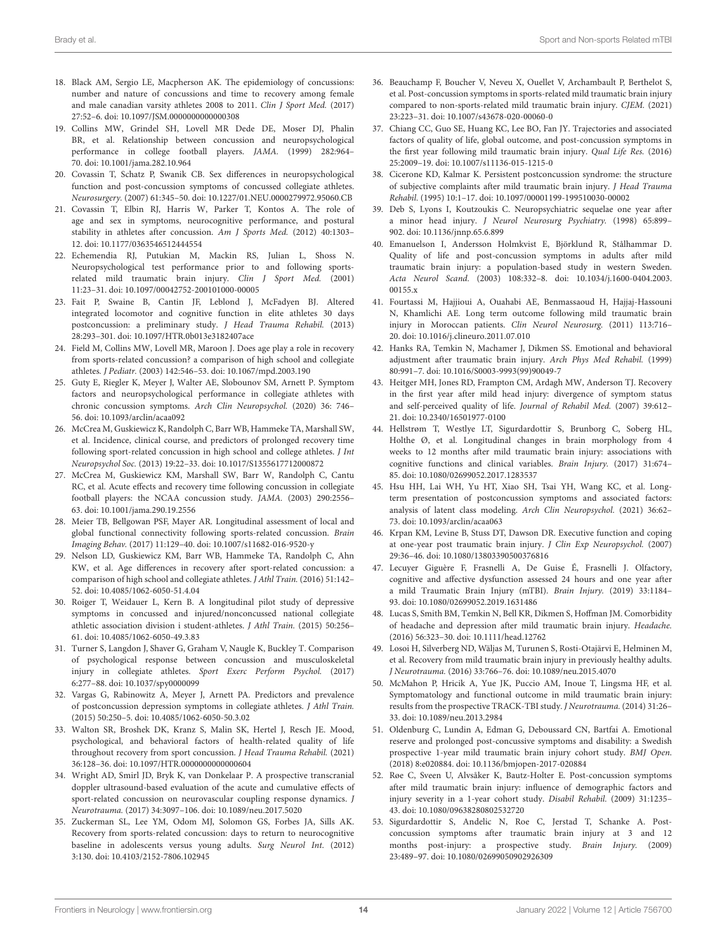- <span id="page-13-3"></span>18. Black AM, Sergio LE, Macpherson AK. The epidemiology of concussions: number and nature of concussions and time to recovery among female and male canadian varsity athletes 2008 to 2011. Clin J Sport Med. (2017) 27:52–6. doi: [10.1097/JSM.0000000000000308](https://doi.org/10.1097/JSM.0000000000000308)
- <span id="page-13-13"></span>19. Collins MW, Grindel SH, Lovell MR Dede DE, Moser DJ, Phalin BR, et al. Relationship between concussion and neuropsychological performance in college football players. JAMA. (1999) 282:964– 70. doi: [10.1001/jama.282.10.964](https://doi.org/10.1001/jama.282.10.964)
- <span id="page-13-14"></span>20. Covassin T, Schatz P, Swanik CB. Sex differences in neuropsychological function and post-concussion symptoms of concussed collegiate athletes. Neurosurgery. (2007) 61:345–50. doi: [10.1227/01.NEU.0000279972.95060.CB](https://doi.org/10.1227/01.NEU.0000279972.95060.CB)
- <span id="page-13-4"></span>21. Covassin T, Elbin RJ, Harris W, Parker T, Kontos A. The role of age and sex in symptoms, neurocognitive performance, and postural stability in athletes after concussion. Am J Sports Med. (2012) 40:1303– 12. doi: [10.1177/0363546512444554](https://doi.org/10.1177/0363546512444554)
- <span id="page-13-15"></span>22. Echemendia RJ, Putukian M, Mackin RS, Julian L, Shoss N. Neuropsychological test performance prior to and following sportsrelated mild traumatic brain injury. Clin J Sport Med. (2001) 11:23–31. doi: [10.1097/00042752-200101000-00005](https://doi.org/10.1097/00042752-200101000-00005)
- <span id="page-13-10"></span>23. Fait P, Swaine B, Cantin JF, Leblond J, McFadyen BJ. Altered integrated locomotor and cognitive function in elite athletes 30 days postconcussion: a preliminary study. J Head Trauma Rehabil. (2013) 28:293–301. doi: [10.1097/HTR.0b013e3182407ace](https://doi.org/10.1097/HTR.0b013e3182407ace)
- <span id="page-13-5"></span>24. Field M, Collins MW, Lovell MR, Maroon J. Does age play a role in recovery from sports-related concussion? a comparison of high school and collegiate athletes. J Pediatr. (2003) 142:546–53. doi: [10.1067/mpd.2003.190](https://doi.org/10.1067/mpd.2003.190)
- <span id="page-13-16"></span>25. Guty E, Riegler K, Meyer J, Walter AE, Slobounov SM, Arnett P. Symptom factors and neuropsychological performance in collegiate athletes with chronic concussion symptoms. Arch Clin Neuropsychol. (2020) 36: 746– 56. doi: [10.1093/arclin/acaa092](https://doi.org/10.1093/arclin/acaa092)
- <span id="page-13-6"></span>26. McCrea M, Guskiewicz K, Randolph C, Barr WB, Hammeke TA, Marshall SW, et al. Incidence, clinical course, and predictors of prolonged recovery time following sport-related concussion in high school and college athletes. J Int Neuropsychol Soc. (2013) 19:22–33. doi: [10.1017/S1355617712000872](https://doi.org/10.1017/S1355617712000872)
- <span id="page-13-7"></span>27. McCrea M, Guskiewicz KM, Marshall SW, Barr W, Randolph C, Cantu RC, et al. Acute effects and recovery time following concussion in collegiate football players: the NCAA concussion study. JAMA. (2003) 290:2556– 63. doi: [10.1001/jama.290.19.2556](https://doi.org/10.1001/jama.290.19.2556)
- <span id="page-13-17"></span>28. Meier TB, Bellgowan PSF, Mayer AR. Longitudinal assessment of local and global functional connectivity following sports-related concussion. Brain Imaging Behav. (2017) 11:129–40. doi: [10.1007/s11682-016-9520-y](https://doi.org/10.1007/s11682-016-9520-y)
- <span id="page-13-8"></span>29. Nelson LD, Guskiewicz KM, Barr WB, Hammeke TA, Randolph C, Ahn KW, et al. Age differences in recovery after sport-related concussion: a comparison of high school and collegiate athletes. J Athl Train. (2016) 51:142– 52. doi: [10.4085/1062-6050-51.4.04](https://doi.org/10.4085/1062-6050-51.4.04)
- <span id="page-13-18"></span>30. Roiger T, Weidauer L, Kern B. A longitudinal pilot study of depressive symptoms in concussed and injured/nonconcussed national collegiate athletic association division i student-athletes. J Athl Train. (2015) 50:256– 61. doi: [10.4085/1062-6050-49.3.83](https://doi.org/10.4085/1062-6050-49.3.83)
- <span id="page-13-11"></span>31. Turner S, Langdon J, Shaver G, Graham V, Naugle K, Buckley T. Comparison of psychological response between concussion and musculoskeletal injury in collegiate athletes. Sport Exerc Perform Psychol. (2017) 6:277–88. doi: [10.1037/spy0000099](https://doi.org/10.1037/spy0000099)
- <span id="page-13-19"></span>32. Vargas G, Rabinowitz A, Meyer J, Arnett PA. Predictors and prevalence of postconcussion depression symptoms in collegiate athletes. J Athl Train. (2015) 50:250–5. doi: [10.4085/1062-6050-50.3.02](https://doi.org/10.4085/1062-6050-50.3.02)
- <span id="page-13-12"></span>33. Walton SR, Broshek DK, Kranz S, Malin SK, Hertel J, Resch JE. Mood, psychological, and behavioral factors of health-related quality of life throughout recovery from sport concussion. J Head Trauma Rehabil. (2021) 36:128–36. doi: [10.1097/HTR.0000000000000604](https://doi.org/10.1097/HTR.0000000000000604)
- <span id="page-13-9"></span>34. Wright AD, Smirl JD, Bryk K, van Donkelaar P. A prospective transcranial doppler ultrasound-based evaluation of the acute and cumulative effects of sport-related concussion on neurovascular coupling response dynamics. J Neurotrauma. (2017) 34:3097–106. doi: [10.1089/neu.2017.5020](https://doi.org/10.1089/neu.2017.5020)
- <span id="page-13-20"></span>35. Zuckerman SL, Lee YM, Odom MJ, Solomon GS, Forbes JA, Sills AK. Recovery from sports-related concussion: days to return to neurocognitive baseline in adolescents versus young adults. Surg Neurol Int. (2012) 3:130. doi: [10.4103/2152-7806.102945](https://doi.org/10.4103/2152-7806.102945)
- <span id="page-13-0"></span>36. Beauchamp F, Boucher V, Neveu X, Ouellet V, Archambault P, Berthelot S, et al. Post-concussion symptoms in sports-related mild traumatic brain injury compared to non-sports-related mild traumatic brain injury. CJEM. (2021) 23:223–31. doi: [10.1007/s43678-020-00060-0](https://doi.org/10.1007/s43678-020-00060-0)
- <span id="page-13-33"></span>37. Chiang CC, Guo SE, Huang KC, Lee BO, Fan JY. Trajectories and associated factors of quality of life, global outcome, and post-concussion symptoms in the first year following mild traumatic brain injury. Qual Life Res. (2016) 25:2009–19. doi: [10.1007/s11136-015-1215-0](https://doi.org/10.1007/s11136-015-1215-0)
- <span id="page-13-1"></span>38. Cicerone KD, Kalmar K. Persistent postconcussion syndrome: the structure of subjective complaints after mild traumatic brain injury. J Head Trauma Rehabil. (1995) 10:1–17. doi: [10.1097/00001199-199510030-00002](https://doi.org/10.1097/00001199-199510030-00002)
- <span id="page-13-21"></span>39. Deb S, Lyons I, Koutzoukis C. Neuropsychiatric sequelae one year after a minor head injury. J Neurol Neurosurg Psychiatry. (1998) 65:899– 902. doi: [10.1136/jnnp.65.6.899](https://doi.org/10.1136/jnnp.65.6.899)
- <span id="page-13-2"></span>40. Emanuelson I, Andersson Holmkvist E, Björklund R, Stålhammar D. Quality of life and post-concussion symptoms in adults after mild traumatic brain injury: a population-based study in western Sweden. Acta Neurol Scand. [\(2003\) 108:332–8. doi: 10.1034/j.1600-0404.2003.](https://doi.org/10.1034/j.1600-0404.2003.00155.x) 00155 $x$
- <span id="page-13-34"></span>41. Fourtassi M, Hajjioui A, Ouahabi AE, Benmassaoud H, Hajjaj-Hassouni N, Khamlichi AE. Long term outcome following mild traumatic brain injury in Moroccan patients. Clin Neurol Neurosurg. (2011) 113:716-20. doi: [10.1016/j.clineuro.2011.07.010](https://doi.org/10.1016/j.clineuro.2011.07.010)
- <span id="page-13-22"></span>42. Hanks RA, Temkin N, Machamer J, Dikmen SS. Emotional and behavioral adjustment after traumatic brain injury. Arch Phys Med Rehabil. (1999) 80:991–7. doi: [10.1016/S0003-9993\(99\)90049-7](https://doi.org/10.1016/S0003-9993(99)90049-7)
- <span id="page-13-25"></span>43. Heitger MH, Jones RD, Frampton CM, Ardagh MW, Anderson TJ. Recovery in the first year after mild head injury: divergence of symptom status and self-perceived quality of life. Journal of Rehabil Med. (2007) 39:612– 21. doi: [10.2340/16501977-0100](https://doi.org/10.2340/16501977-0100)
- <span id="page-13-30"></span>44. Hellstrøm T, Westlye LT, Sigurdardottir S, Brunborg C, Soberg HL, Holthe Ø, et al. Longitudinal changes in brain morphology from 4 weeks to 12 months after mild traumatic brain injury: associations with cognitive functions and clinical variables. Brain Injury. (2017) 31:674– 85. doi: [10.1080/02699052.2017.1283537](https://doi.org/10.1080/02699052.2017.1283537)
- <span id="page-13-26"></span>45. Hsu HH, Lai WH, Yu HT, Xiao SH, Tsai YH, Wang KC, et al. Longterm presentation of postconcussion symptoms and associated factors: analysis of latent class modeling. Arch Clin Neuropsychol. (2021) 36:62– 73. doi: [10.1093/arclin/acaa063](https://doi.org/10.1093/arclin/acaa063)
- <span id="page-13-23"></span>46. Krpan KM, Levine B, Stuss DT, Dawson DR. Executive function and coping at one-year post traumatic brain injury. J Clin Exp Neuropsychol. (2007) 29:36–46. doi: [10.1080/13803390500376816](https://doi.org/10.1080/13803390500376816)
- <span id="page-13-27"></span>47. Lecuyer Giguère F, Frasnelli A, De Guise É, Frasnelli J. Olfactory, cognitive and affective dysfunction assessed 24 hours and one year after a mild Traumatic Brain Injury (mTBI). Brain Injury. (2019) 33:1184– 93. doi: [10.1080/02699052.2019.1631486](https://doi.org/10.1080/02699052.2019.1631486)
- <span id="page-13-31"></span>48. Lucas S, Smith BM, Temkin N, Bell KR, Dikmen S, Hoffman JM. Comorbidity of headache and depression after mild traumatic brain injury. Headache. (2016) 56:323–30. doi: [10.1111/head.12762](https://doi.org/10.1111/head.12762)
- <span id="page-13-28"></span>49. Losoi H, Silverberg ND, Wäljas M, Turunen S, Rosti-Otajärvi E, Helminen M, et al. Recovery from mild traumatic brain injury in previously healthy adults. J Neurotrauma. (2016) 33:766–76. doi: [10.1089/neu.2015.4070](https://doi.org/10.1089/neu.2015.4070)
- <span id="page-13-24"></span>50. McMahon P, Hricik A, Yue JK, Puccio AM, Inoue T, Lingsma HF, et al. Symptomatology and functional outcome in mild traumatic brain injury: results from the prospective TRACK-TBI study. J Neurotrauma. (2014) 31:26– 33. doi: [10.1089/neu.2013.2984](https://doi.org/10.1089/neu.2013.2984)
- <span id="page-13-35"></span>51. Oldenburg C, Lundin A, Edman G, Deboussard CN, Bartfai A. Emotional reserve and prolonged post-concussive symptoms and disability: a Swedish prospective 1-year mild traumatic brain injury cohort study. BMJ Open. (2018) 8:e020884. doi: [10.1136/bmjopen-2017-020884](https://doi.org/10.1136/bmjopen-2017-020884)
- <span id="page-13-32"></span>52. Røe C, Sveen U, Alvsåker K, Bautz-Holter E. Post-concussion symptoms after mild traumatic brain injury: influence of demographic factors and injury severity in a 1-year cohort study. Disabil Rehabil. (2009) 31:1235– 43. doi: [10.1080/09638280802532720](https://doi.org/10.1080/09638280802532720)
- <span id="page-13-29"></span>53. Sigurdardottir S, Andelic N, Roe C, Jerstad T, Schanke A. Postconcussion symptoms after traumatic brain injury at 3 and 12 months post-injury: a prospective study. Brain Injury. (2009) 23:489–97. doi: [10.1080/02699050902926309](https://doi.org/10.1080/02699050902926309)